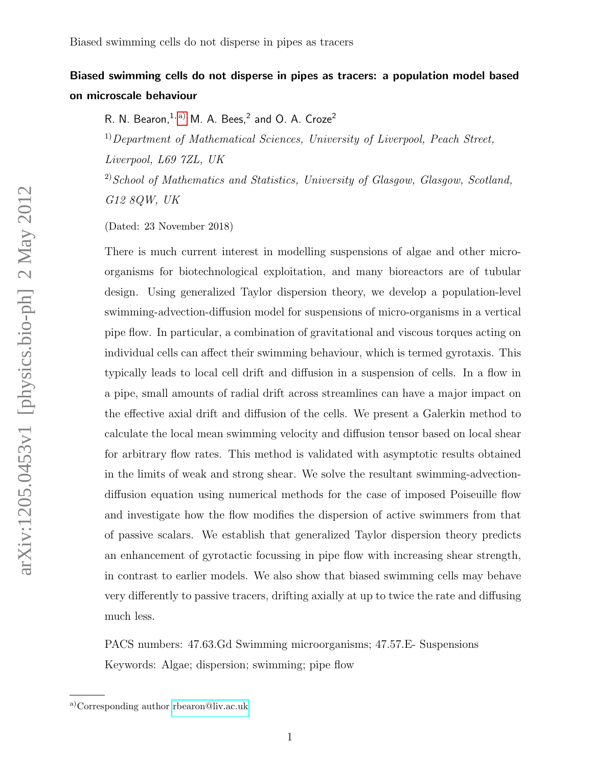# Biased swimming cells do not disperse in pipes as tracers: a population model based on microscale behaviour

R. N. Bearon,  $1, ab$  M. A. Bees,  $2$  and O. A. Croze  $2$ 

 $1)$ Department of Mathematical Sciences, University of Liverpool, Peach Street, Liverpool, L69 7ZL, UK

<sup>2)</sup>School of Mathematics and Statistics, University of Glasgow, Glasgow, Scotland, G12 8QW, UK

(Dated: 23 November 2018)

There is much current interest in modelling suspensions of algae and other microorganisms for biotechnological exploitation, and many bioreactors are of tubular design. Using generalized Taylor dispersion theory, we develop a population-level swimming-advection-diffusion model for suspensions of micro-organisms in a vertical pipe flow. In particular, a combination of gravitational and viscous torques acting on individual cells can affect their swimming behaviour, which is termed gyrotaxis. This typically leads to local cell drift and diffusion in a suspension of cells. In a flow in a pipe, small amounts of radial drift across streamlines can have a major impact on the effective axial drift and diffusion of the cells. We present a Galerkin method to calculate the local mean swimming velocity and diffusion tensor based on local shear for arbitrary flow rates. This method is validated with asymptotic results obtained in the limits of weak and strong shear. We solve the resultant swimming-advectiondiffusion equation using numerical methods for the case of imposed Poiseuille flow and investigate how the flow modifies the dispersion of active swimmers from that of passive scalars. We establish that generalized Taylor dispersion theory predicts an enhancement of gyrotactic focussing in pipe flow with increasing shear strength, in contrast to earlier models. We also show that biased swimming cells may behave very differently to passive tracers, drifting axially at up to twice the rate and diffusing much less.

PACS numbers: 47.63.Gd Swimming microorganisms; 47.57.E- Suspensions Keywords: Algae; dispersion; swimming; pipe flow

<span id="page-0-0"></span>a)Corresponding author [rbearon@liv.ac.uk](mailto:rbearon@liv.ac.uk)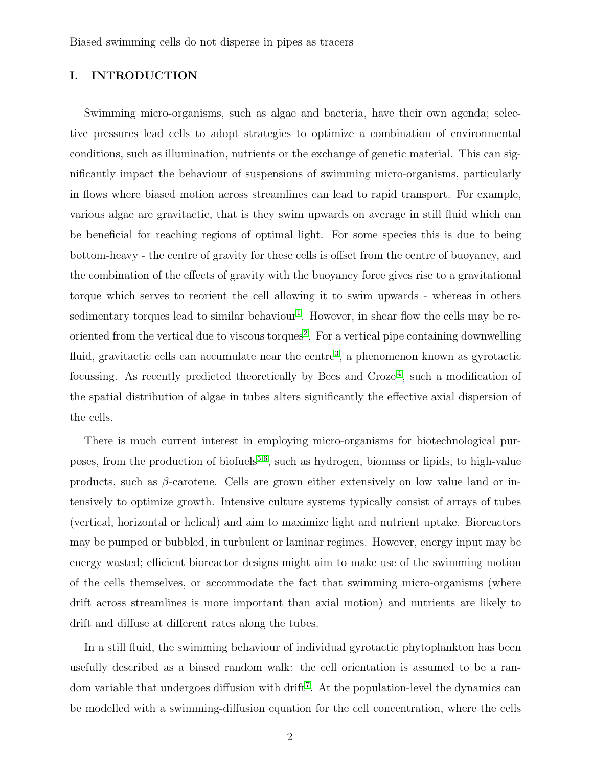## I. INTRODUCTION

Swimming micro-organisms, such as algae and bacteria, have their own agenda; selective pressures lead cells to adopt strategies to optimize a combination of environmental conditions, such as illumination, nutrients or the exchange of genetic material. This can significantly impact the behaviour of suspensions of swimming micro-organisms, particularly in flows where biased motion across streamlines can lead to rapid transport. For example, various algae are gravitactic, that is they swim upwards on average in still fluid which can be beneficial for reaching regions of optimal light. For some species this is due to being bottom-heavy - the centre of gravity for these cells is offset from the centre of buoyancy, and the combination of the effects of gravity with the buoyancy force gives rise to a gravitational torque which serves to reorient the cell allowing it to swim upwards - whereas in others sedimentary torques lead to similar behaviour<sup>[1](#page-26-0)</sup>. However, in shear flow the cells may be re-oriented from the vertical due to viscous torques<sup>[2](#page-26-1)</sup>. For a vertical pipe containing downwelling fluid, gravitactic cells can accumulate near the centre<sup>[3](#page-26-2)</sup>, a phenomenon known as gyrotactic focussing. As recently predicted theoretically by Bees and Croze<sup>[4](#page-26-3)</sup>, such a modification of the spatial distribution of algae in tubes alters significantly the effective axial dispersion of the cells.

There is much current interest in employing micro-organisms for biotechnological pur-poses, from the production of biofuels<sup>[5,](#page-26-4)[6](#page-26-5)</sup>, such as hydrogen, biomass or lipids, to high-value products, such as  $\beta$ -carotene. Cells are grown either extensively on low value land or intensively to optimize growth. Intensive culture systems typically consist of arrays of tubes (vertical, horizontal or helical) and aim to maximize light and nutrient uptake. Bioreactors may be pumped or bubbled, in turbulent or laminar regimes. However, energy input may be energy wasted; efficient bioreactor designs might aim to make use of the swimming motion of the cells themselves, or accommodate the fact that swimming micro-organisms (where drift across streamlines is more important than axial motion) and nutrients are likely to drift and diffuse at different rates along the tubes.

In a still fluid, the swimming behaviour of individual gyrotactic phytoplankton has been usefully described as a biased random walk: the cell orientation is assumed to be a ran-dom variable that undergoes diffusion with drift<sup>[7](#page-27-0)</sup>. At the population-level the dynamics can be modelled with a swimming-diffusion equation for the cell concentration, where the cells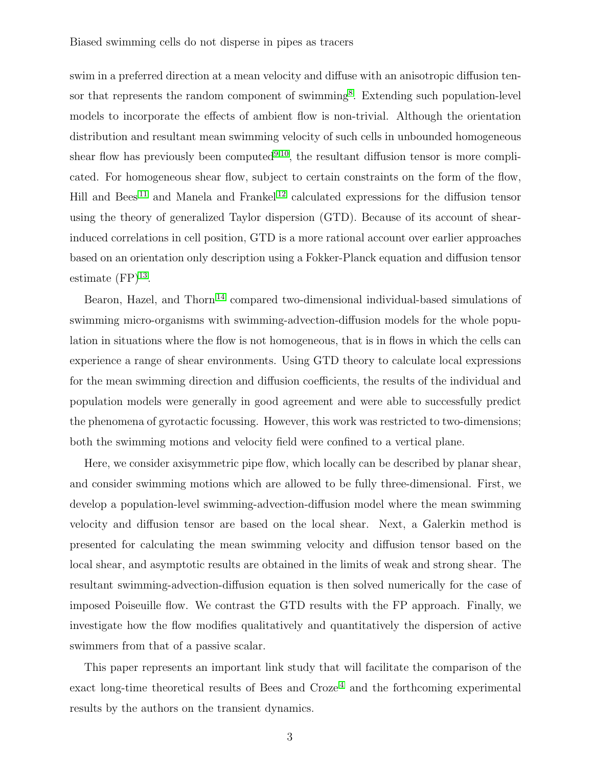swim in a preferred direction at a mean velocity and diffuse with an anisotropic diffusion ten-sor that represents the random component of swimming<sup>[8](#page-27-1)</sup>. Extending such population-level models to incorporate the effects of ambient flow is non-trivial. Although the orientation distribution and resultant mean swimming velocity of such cells in unbounded homogeneous shear flow has previously been computed<sup>[9,](#page-27-2)[10](#page-27-3)</sup>, the resultant diffusion tensor is more complicated. For homogeneous shear flow, subject to certain constraints on the form of the flow, Hill and Bees [11](#page-27-4) and Manela and Frankel [12](#page-27-5) calculated expressions for the diffusion tensor using the theory of generalized Taylor dispersion (GTD). Because of its account of shearinduced correlations in cell position, GTD is a more rational account over earlier approaches based on an orientation only description using a Fokker-Planck equation and diffusion tensor estimate  $(FP)^{13}$  $(FP)^{13}$  $(FP)^{13}$ .

Bearon, Hazel, and Thorn<sup>[14](#page-27-7)</sup> compared two-dimensional individual-based simulations of swimming micro-organisms with swimming-advection-diffusion models for the whole population in situations where the flow is not homogeneous, that is in flows in which the cells can experience a range of shear environments. Using GTD theory to calculate local expressions for the mean swimming direction and diffusion coefficients, the results of the individual and population models were generally in good agreement and were able to successfully predict the phenomena of gyrotactic focussing. However, this work was restricted to two-dimensions; both the swimming motions and velocity field were confined to a vertical plane.

Here, we consider axisymmetric pipe flow, which locally can be described by planar shear, and consider swimming motions which are allowed to be fully three-dimensional. First, we develop a population-level swimming-advection-diffusion model where the mean swimming velocity and diffusion tensor are based on the local shear. Next, a Galerkin method is presented for calculating the mean swimming velocity and diffusion tensor based on the local shear, and asymptotic results are obtained in the limits of weak and strong shear. The resultant swimming-advection-diffusion equation is then solved numerically for the case of imposed Poiseuille flow. We contrast the GTD results with the FP approach. Finally, we investigate how the flow modifies qualitatively and quantitatively the dispersion of active swimmers from that of a passive scalar.

This paper represents an important link study that will facilitate the comparison of the exact long-time theoretical results of Bees and  $Croze<sup>4</sup>$  $Croze<sup>4</sup>$  $Croze<sup>4</sup>$  and the forthcoming experimental results by the authors on the transient dynamics.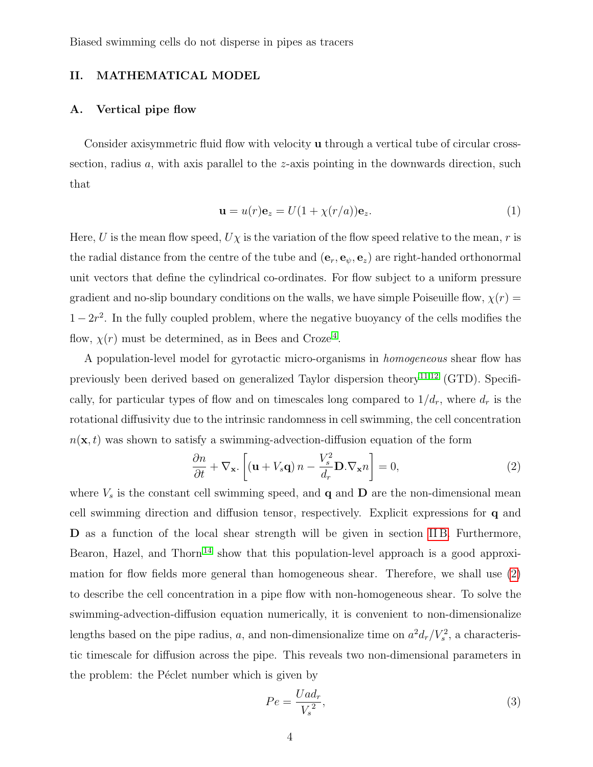### II. MATHEMATICAL MODEL

## <span id="page-3-2"></span>A. Vertical pipe flow

Consider axisymmetric fluid flow with velocity u through a vertical tube of circular crosssection, radius  $a$ , with axis parallel to the  $z$ -axis pointing in the downwards direction, such that

<span id="page-3-1"></span>
$$
\mathbf{u} = u(r)\mathbf{e}_z = U(1 + \chi(r/a))\mathbf{e}_z.
$$
 (1)

Here, U is the mean flow speed,  $U\chi$  is the variation of the flow speed relative to the mean, r is the radial distance from the centre of the tube and  $(e_r, e_{\psi}, e_z)$  are right-handed orthonormal unit vectors that define the cylindrical co-ordinates. For flow subject to a uniform pressure gradient and no-slip boundary conditions on the walls, we have simple Poiseuille flow,  $\chi(r)$  =  $1-2r^2$ . In the fully coupled problem, where the negative buoyancy of the cells modifies the flow,  $\chi(r)$  must be determined, as in Bees and Croze<sup>[4](#page-26-3)</sup>.

A population-level model for gyrotactic micro-organisms in homogeneous shear flow has previously been derived based on generalized Taylor dispersion theory<sup>[11](#page-27-4)[,12](#page-27-5)</sup> (GTD). Specifically, for particular types of flow and on timescales long compared to  $1/d_r$ , where  $d_r$  is the rotational diffusivity due to the intrinsic randomness in cell swimming, the cell concentration  $n(\mathbf{x}, t)$  was shown to satisfy a swimming-advection-diffusion equation of the form

<span id="page-3-0"></span>
$$
\frac{\partial n}{\partial t} + \nabla_{\mathbf{x}} \cdot \left[ (\mathbf{u} + V_s \mathbf{q}) n - \frac{V_s^2}{d_r} \mathbf{D} . \nabla_{\mathbf{x}} n \right] = 0,
$$
\n(2)

where  $V_s$  is the constant cell swimming speed, and  $\bf{q}$  and  $\bf{D}$  are the non-dimensional mean cell swimming direction and diffusion tensor, respectively. Explicit expressions for q and D as a function of the local shear strength will be given in section IIB. Furthermore, Bearon, Hazel, and Thorn<sup>[14](#page-27-7)</sup> show that this population-level approach is a good approximation for flow fields more general than homogeneous shear. Therefore, we shall use [\(2\)](#page-3-0) to describe the cell concentration in a pipe flow with non-homogeneous shear. To solve the swimming-advection-diffusion equation numerically, it is convenient to non-dimensionalize lengths based on the pipe radius, a, and non-dimensionalize time on  $a^2d_r/V_s^2$ , a characteristic timescale for diffusion across the pipe. This reveals two non-dimensional parameters in the problem: the Péclet number which is given by

$$
Pe = \frac{Uad_r}{V_s^2},\tag{3}
$$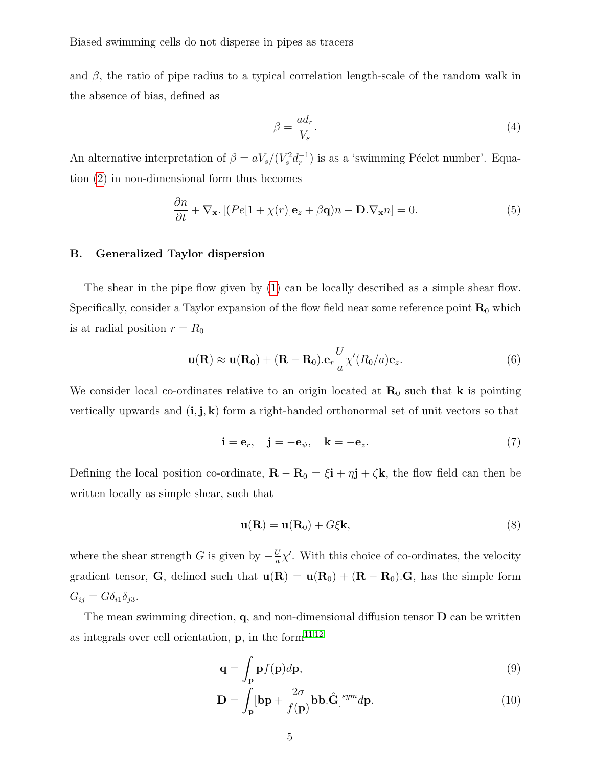and  $\beta$ , the ratio of pipe radius to a typical correlation length-scale of the random walk in the absence of bias, defined as

$$
\beta = \frac{ad_r}{V_s}.\tag{4}
$$

An alternative interpretation of  $\beta = aV_s/(V_s^2 d_r^{-1})$  is as a 'swimming Péclet number'. Equation [\(2\)](#page-3-0) in non-dimensional form thus becomes

<span id="page-4-2"></span>
$$
\frac{\partial n}{\partial t} + \nabla_{\mathbf{x}} \left[ (Pe[1 + \chi(r)]\mathbf{e}_z + \beta \mathbf{q})n - \mathbf{D} \cdot \nabla_{\mathbf{x}} n \right] = 0. \tag{5}
$$

#### <span id="page-4-0"></span>B. Generalized Taylor dispersion

The shear in the pipe flow given by [\(1\)](#page-3-1) can be locally described as a simple shear flow. Specifically, consider a Taylor expansion of the flow field near some reference point  $\mathbf{R}_0$  which is at radial position  $r = R_0$ 

$$
\mathbf{u}(\mathbf{R}) \approx \mathbf{u}(\mathbf{R_0}) + (\mathbf{R} - \mathbf{R}_0) \cdot \mathbf{e}_r \frac{U}{a} \chi'(R_0/a) \mathbf{e}_z.
$$
 (6)

We consider local co-ordinates relative to an origin located at  $\mathbf{R}_0$  such that **k** is pointing vertically upwards and  $(i, j, k)$  form a right-handed orthonormal set of unit vectors so that

$$
\mathbf{i} = \mathbf{e}_r, \quad \mathbf{j} = -\mathbf{e}_\psi, \quad \mathbf{k} = -\mathbf{e}_z. \tag{7}
$$

Defining the local position co-ordinate,  $\mathbf{R} - \mathbf{R}_0 = \xi \mathbf{i} + \eta \mathbf{j} + \zeta \mathbf{k}$ , the flow field can then be written locally as simple shear, such that

$$
\mathbf{u}(\mathbf{R}) = \mathbf{u}(\mathbf{R}_0) + G\xi \mathbf{k},\tag{8}
$$

where the shear strength G is given by  $-\frac{U}{a}$  $\frac{U}{a}\chi'$ . With this choice of co-ordinates, the velocity gradient tensor, G, defined such that  $u(R) = u(R_0) + (R - R_0)$ . G, has the simple form  $G_{ij} = G \delta_{i1} \delta_{j3}.$ 

The mean swimming direction,  $q$ , and non-dimensional diffusion tensor  $D$  can be written as integrals over cell orientation,  $\mathbf{p}$ , in the form<sup>[11](#page-27-4)[,12](#page-27-5)</sup>

$$
\mathbf{q} = \int_{\mathbf{p}} \mathbf{p} f(\mathbf{p}) d\mathbf{p},\tag{9}
$$

<span id="page-4-1"></span>
$$
\mathbf{D} = \int_{\mathbf{p}} [\mathbf{b}\mathbf{p} + \frac{2\sigma}{f(\mathbf{p})} \mathbf{b}\mathbf{b}\cdot\hat{\mathbf{G}}]^{sym} d\mathbf{p}.
$$
 (10)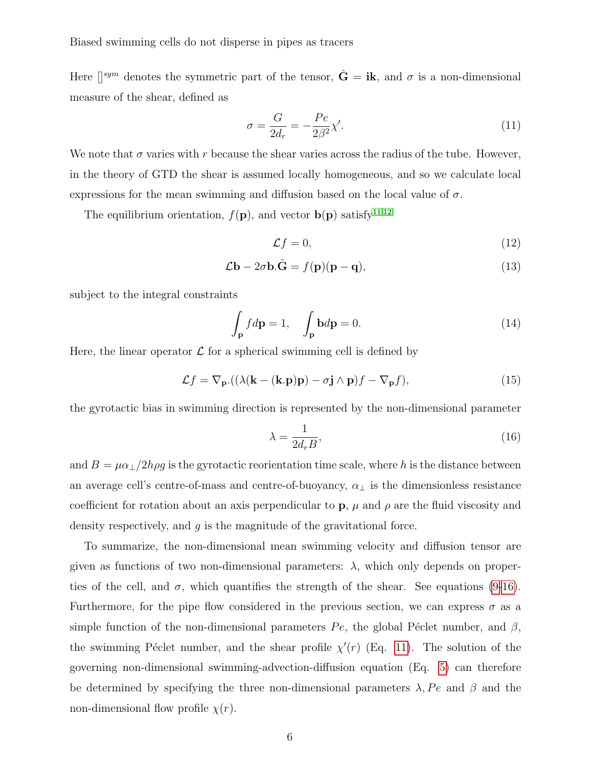Here  $\left[\right]^{sym}$  denotes the symmetric part of the tensor,  $\hat{G} = i\mathbf{k}$ , and  $\sigma$  is a non-dimensional measure of the shear, defined as

<span id="page-5-1"></span>
$$
\sigma = \frac{G}{2d_r} = -\frac{Pe}{2\beta^2} \chi'.\tag{11}
$$

We note that  $\sigma$  varies with r because the shear varies across the radius of the tube. However, in the theory of GTD the shear is assumed locally homogeneous, and so we calculate local expressions for the mean swimming and diffusion based on the local value of  $\sigma$ .

The equilibrium orientation,  $f(\mathbf{p})$ , and vector  $\mathbf{b}(\mathbf{p})$  satisfy<sup>[11,](#page-27-4)[12](#page-27-5)</sup>

<span id="page-5-2"></span>
$$
\mathcal{L}f = 0,\tag{12}
$$

$$
\mathcal{L}\mathbf{b} - 2\sigma \mathbf{b}.\hat{\mathbf{G}} = f(\mathbf{p})(\mathbf{p} - \mathbf{q}),\tag{13}
$$

subject to the integral constraints

<span id="page-5-3"></span>
$$
\int_{\mathbf{p}} f d\mathbf{p} = 1, \quad \int_{\mathbf{p}} \mathbf{b} d\mathbf{p} = 0.
$$
\n(14)

Here, the linear operator  $\mathcal L$  for a spherical swimming cell is defined by

<span id="page-5-4"></span>
$$
\mathcal{L}f = \nabla_{\mathbf{p}}.((\lambda(\mathbf{k} - (\mathbf{k}.\mathbf{p})\mathbf{p}) - \sigma \mathbf{j} \wedge \mathbf{p})f - \nabla_{\mathbf{p}}f),
$$
\n(15)

the gyrotactic bias in swimming direction is represented by the non-dimensional parameter

<span id="page-5-0"></span>
$$
\lambda = \frac{1}{2d_r B},\tag{16}
$$

and  $B = \mu \alpha_{\perp}/2h\rho g$  is the gyrotactic reorientation time scale, where h is the distance between an average cell's centre-of-mass and centre-of-buoyancy,  $\alpha_{\perp}$  is the dimensionless resistance coefficient for rotation about an axis perpendicular to  $\bf{p}$ ,  $\mu$  and  $\rho$  are the fluid viscosity and density respectively, and  $q$  is the magnitude of the gravitational force.

To summarize, the non-dimensional mean swimming velocity and diffusion tensor are given as functions of two non-dimensional parameters:  $\lambda$ , which only depends on properties of the cell, and  $\sigma$ , which quantifies the strength of the shear. See equations [\(9-](#page-4-1)[16\)](#page-5-0). Furthermore, for the pipe flow considered in the previous section, we can express  $\sigma$  as a simple function of the non-dimensional parameters  $Pe$ , the global Péclet number, and  $\beta$ , the swimming Péclet number, and the shear profile  $\chi'(r)$  (Eq. [11\)](#page-5-1). The solution of the governing non-dimensional swimming-advection-diffusion equation (Eq. [5\)](#page-4-2) can therefore be determined by specifying the three non-dimensional parameters  $\lambda$ , Pe and  $\beta$  and the non-dimensional flow profile  $\chi(r)$ .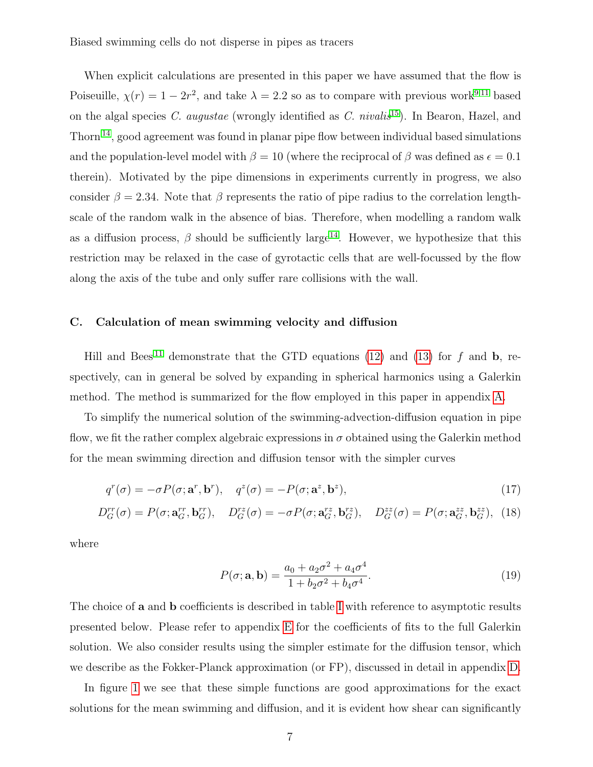When explicit calculations are presented in this paper we have assumed that the flow is Poiseuille,  $\chi(r) = 1 - 2r^2$ , and take  $\lambda = 2.2$  so as to compare with previous work<sup>[9,](#page-27-2)[11](#page-27-4)</sup> based on the algal species C. augustae (wrongly identified as C. nivalis<sup>[15](#page-27-8)</sup>). In Bearon, Hazel, and Thorn<sup>[14](#page-27-7)</sup>, good agreement was found in planar pipe flow between individual based simulations and the population-level model with  $\beta = 10$  (where the reciprocal of  $\beta$  was defined as  $\epsilon = 0.1$ ) therein). Motivated by the pipe dimensions in experiments currently in progress, we also consider  $\beta = 2.34$ . Note that  $\beta$  represents the ratio of pipe radius to the correlation lengthscale of the random walk in the absence of bias. Therefore, when modelling a random walk as a diffusion process,  $\beta$  should be sufficiently large<sup>[14](#page-27-7)</sup>. However, we hypothesize that this restriction may be relaxed in the case of gyrotactic cells that are well-focussed by the flow along the axis of the tube and only suffer rare collisions with the wall.

#### C. Calculation of mean swimming velocity and diffusion

Hill and Bees<sup>[11](#page-27-4)</sup> demonstrate that the GTD equations [\(12\)](#page-5-2) and [\(13\)](#page-5-2) for f and b, respectively, can in general be solved by expanding in spherical harmonics using a Galerkin method. The method is summarized for the flow employed in this paper in appendix [A.](#page-15-0)

To simplify the numerical solution of the swimming-advection-diffusion equation in pipe flow, we fit the rather complex algebraic expressions in  $\sigma$  obtained using the Galerkin method for the mean swimming direction and diffusion tensor with the simpler curves

$$
q^r(\sigma) = -\sigma P(\sigma; \mathbf{a}^r, \mathbf{b}^r), \quad q^z(\sigma) = -P(\sigma; \mathbf{a}^z, \mathbf{b}^z), \tag{17}
$$

$$
D_G^{rr}(\sigma) = P(\sigma; \mathbf{a}_G^{rr}, \mathbf{b}_G^{rr}), \quad D_G^{rz}(\sigma) = -\sigma P(\sigma; \mathbf{a}_G^{rz}, \mathbf{b}_G^{rz}), \quad D_G^{zz}(\sigma) = P(\sigma; \mathbf{a}_G^{zz}, \mathbf{b}_G^{zz}), \tag{18}
$$

where

<span id="page-6-0"></span>
$$
P(\sigma; \mathbf{a}, \mathbf{b}) = \frac{a_0 + a_2 \sigma^2 + a_4 \sigma^4}{1 + b_2 \sigma^2 + b_4 \sigma^4}.
$$
\n(19)

The choice of **a** and **b** coefficients is described in table [I](#page-7-0) with reference to asymptotic results presented below. Please refer to appendix [E](#page-26-6) for the coefficients of fits to the full Galerkin solution. We also consider results using the simpler estimate for the diffusion tensor, which we describe as the Fokker-Planck approximation (or FP), discussed in detail in appendix [D.](#page-25-0)

In figure [1](#page-8-0) we see that these simple functions are good approximations for the exact solutions for the mean swimming and diffusion, and it is evident how shear can significantly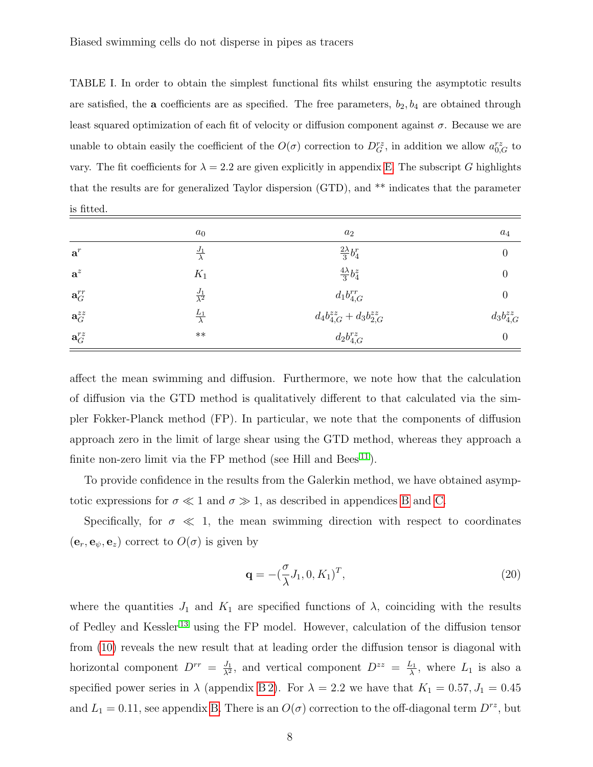<span id="page-7-0"></span>TABLE I. In order to obtain the simplest functional fits whilst ensuring the asymptotic results are satisfied, the **a** coefficients are as specified. The free parameters,  $b_2$ ,  $b_4$  are obtained through least squared optimization of each fit of velocity or diffusion component against  $\sigma$ . Because we are unable to obtain easily the coefficient of the  $O(\sigma)$  correction to  $D_G^{rz}$ , in addition we allow  $a_{0,G}^{rz}$  to vary. The fit coefficients for  $\lambda = 2.2$  are given explicitly in appendix [E.](#page-26-6) The subscript G highlights that the results are for generalized Taylor dispersion (GTD), and \*\* indicates that the parameter is fitted.

|                       | $a_0$                   | $a_2$                               | $a_4$             |
|-----------------------|-------------------------|-------------------------------------|-------------------|
| $\mathbf{a}^r$        | $\frac{J_1}{\lambda}$   | $\frac{2\lambda}{3}b_4^r$           | 0                 |
| $a^z$                 | $K_1$                   | $\frac{4\lambda}{3}b_4^z$           | $\theta$          |
| $\mathbf{a}_{G}^{rr}$ | $\frac{J_1}{\lambda^2}$ | $d_1b_{4,G}^{rr}$                   | $\boldsymbol{0}$  |
| $\mathbf{a}_{G}^{zz}$ | $rac{L_1}{\lambda}$     | $d_4b_{4,G}^{zz} + d_3b_{2,G}^{zz}$ | $d_3b_{4,G}^{zz}$ |
| $\mathbf{a}_{G}^{rz}$ | $***$                   | $d_2b_{4,G}^{rz}$                   | $\boldsymbol{0}$  |

affect the mean swimming and diffusion. Furthermore, we note how that the calculation of diffusion via the GTD method is qualitatively different to that calculated via the simpler Fokker-Planck method (FP). In particular, we note that the components of diffusion approach zero in the limit of large shear using the GTD method, whereas they approach a finite non-zero limit via the FP method (see Hill and Bees<sup>[11](#page-27-4)</sup>).

To provide confidence in the results from the Galerkin method, we have obtained asymptotic expressions for  $\sigma \ll 1$  and  $\sigma \gg 1$ , as described in appendices [B](#page-16-0) and [C.](#page-20-0)

Specifically, for  $\sigma \ll 1$ , the mean swimming direction with respect to coordinates  $(\mathbf{e}_r, \mathbf{e}_{\psi}, \mathbf{e}_z)$  correct to  $O(\sigma)$  is given by

<span id="page-7-1"></span>
$$
\mathbf{q} = -(\frac{\sigma}{\lambda}J_1, 0, K_1)^T, \tag{20}
$$

where the quantities  $J_1$  and  $K_1$  are specified functions of  $\lambda$ , coinciding with the results of Pedley and Kessler [13](#page-27-6) using the FP model. However, calculation of the diffusion tensor from [\(10\)](#page-4-1) reveals the new result that at leading order the diffusion tensor is diagonal with horizontal component  $D^{rr} = \frac{J_1}{\lambda^2}$  $\frac{J_1}{\lambda^2}$ , and vertical component  $D^{zz} = \frac{L_1}{\lambda}$  $\frac{L_1}{\lambda}$ , where  $L_1$  is also a specified power series in  $\lambda$  (appendix [B 2\)](#page-18-0). For  $\lambda = 2.2$  we have that  $K_1 = 0.57, J_1 = 0.45$ and  $L_1 = 0.11$ , see appendix [B.](#page-16-0) There is an  $O(\sigma)$  correction to the off-diagonal term  $D^{rz}$ , but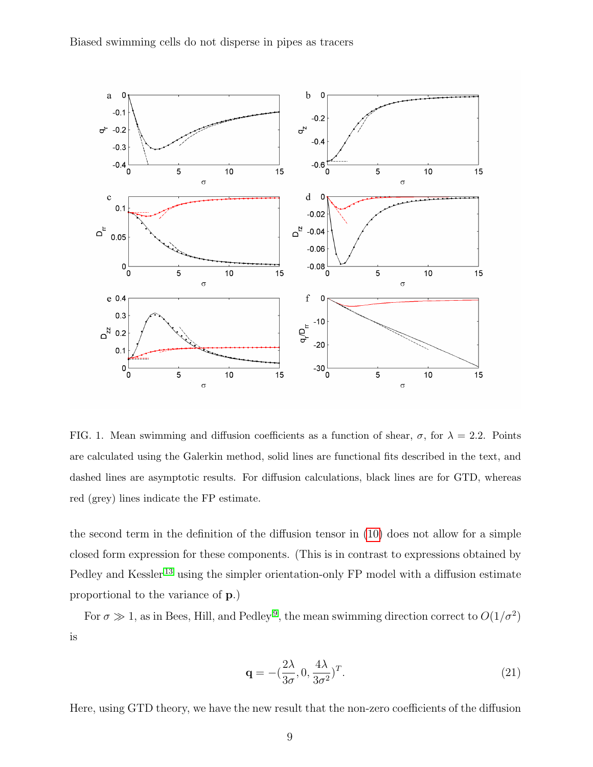

<span id="page-8-0"></span>FIG. 1. Mean swimming and diffusion coefficients as a function of shear,  $\sigma$ , for  $\lambda = 2.2$ . Points are calculated using the Galerkin method, solid lines are functional fits described in the text, and dashed lines are asymptotic results. For diffusion calculations, black lines are for GTD, whereas red (grey) lines indicate the FP estimate.

the second term in the definition of the diffusion tensor in [\(10\)](#page-4-1) does not allow for a simple closed form expression for these components. (This is in contrast to expressions obtained by Pedley and Kessler<sup>[13](#page-27-6)</sup> using the simpler orientation-only FP model with a diffusion estimate proportional to the variance of p.)

For  $\sigma \gg 1$ , as in Bees, Hill, and Pedley<sup>[9](#page-27-2)</sup>, the mean swimming direction correct to  $O(1/\sigma^2)$ is

$$
\mathbf{q} = -(\frac{2\lambda}{3\sigma}, 0, \frac{4\lambda}{3\sigma^2})^T.
$$
 (21)

Here, using GTD theory, we have the new result that the non-zero coefficients of the diffusion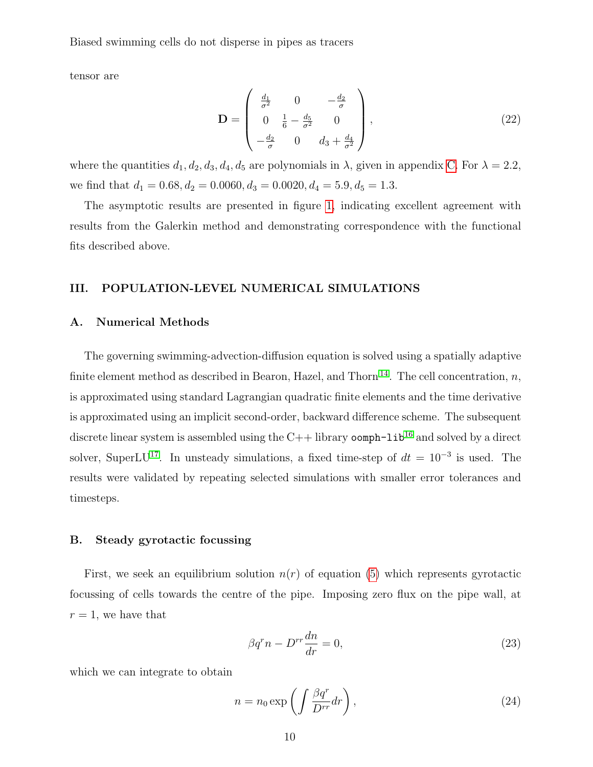tensor are

$$
\mathbf{D} = \begin{pmatrix} \frac{d_1}{\sigma^2} & 0 & -\frac{d_2}{\sigma} \\ 0 & \frac{1}{6} - \frac{d_5}{\sigma^2} & 0 \\ -\frac{d_2}{\sigma} & 0 & d_3 + \frac{d_4}{\sigma^2} \end{pmatrix},
$$
(22)

where the quantities  $d_1, d_2, d_3, d_4, d_5$  are polynomials in  $\lambda$ , given in appendix [C.](#page-20-0) For  $\lambda = 2.2$ , we find that  $d_1 = 0.68, d_2 = 0.0060, d_3 = 0.0020, d_4 = 5.9, d_5 = 1.3.$ 

The asymptotic results are presented in figure [1,](#page-8-0) indicating excellent agreement with results from the Galerkin method and demonstrating correspondence with the functional fits described above.

## III. POPULATION-LEVEL NUMERICAL SIMULATIONS

#### A. Numerical Methods

The governing swimming-advection-diffusion equation is solved using a spatially adaptive finite element method as described in Bearon, Hazel, and Thorn<sup>[14](#page-27-7)</sup>. The cell concentration, n, is approximated using standard Lagrangian quadratic finite elements and the time derivative is approximated using an implicit second-order, backward difference scheme. The subsequent discrete linear system is assembled using the  $C++$  library  $\text{comph-lib}^{16}$  $\text{comph-lib}^{16}$  $\text{comph-lib}^{16}$  and solved by a direct solver, SuperLU<sup>[17](#page-27-10)</sup>. In unsteady simulations, a fixed time-step of  $dt = 10^{-3}$  is used. The results were validated by repeating selected simulations with smaller error tolerances and timesteps.

## B. Steady gyrotactic focussing

First, we seek an equilibrium solution  $n(r)$  of equation [\(5\)](#page-4-2) which represents gyrotactic focussing of cells towards the centre of the pipe. Imposing zero flux on the pipe wall, at  $r = 1$ , we have that

$$
\beta q^r n - D^{rr} \frac{dn}{dr} = 0,\t\t(23)
$$

which we can integrate to obtain

<span id="page-9-0"></span>
$$
n = n_0 \exp\left(\int \frac{\beta q^r}{D^{rr}} dr\right),\tag{24}
$$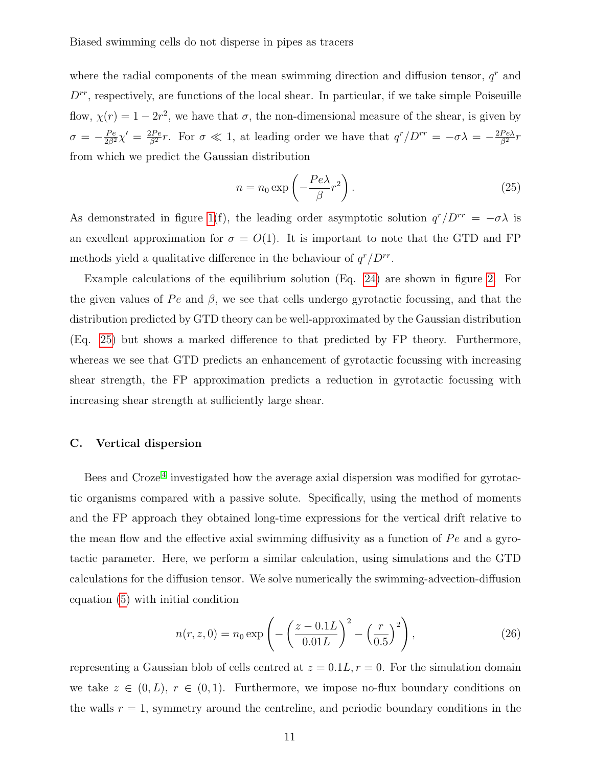where the radial components of the mean swimming direction and diffusion tensor,  $q<sup>r</sup>$  and  $D^{rr}$ , respectively, are functions of the local shear. In particular, if we take simple Poiseuille flow,  $\chi(r) = 1 - 2r^2$ , we have that  $\sigma$ , the non-dimensional measure of the shear, is given by  $\sigma = -\frac{Pe}{2\beta^2}\chi' = \frac{2Pe}{\beta^2}r$ . For  $\sigma \ll 1$ , at leading order we have that  $q^r/D^{rr} = -\sigma\lambda = -\frac{2Pe\lambda}{\beta^2}r$ from which we predict the Gaussian distribution

<span id="page-10-0"></span>
$$
n = n_0 \exp\left(-\frac{Pe\lambda}{\beta}r^2\right).
$$
 (25)

As demonstrated in figure [1\(](#page-8-0)f), the leading order asymptotic solution  $q^r/D^{rr} = -\sigma\lambda$  is an excellent approximation for  $\sigma = O(1)$ . It is important to note that the GTD and FP methods yield a qualitative difference in the behaviour of  $q^r/D^{rr}$ .

Example calculations of the equilibrium solution (Eq. [24\)](#page-9-0) are shown in figure [2.](#page-11-0) For the given values of Pe and  $\beta$ , we see that cells undergo gyrotactic focussing, and that the distribution predicted by GTD theory can be well-approximated by the Gaussian distribution (Eq. [25\)](#page-10-0) but shows a marked difference to that predicted by FP theory. Furthermore, whereas we see that GTD predicts an enhancement of gyrotactic focussing with increasing shear strength, the FP approximation predicts a reduction in gyrotactic focussing with increasing shear strength at sufficiently large shear.

#### C. Vertical dispersion

Bees and Croze<sup>[4](#page-26-3)</sup> investigated how the average axial dispersion was modified for gyrotactic organisms compared with a passive solute. Specifically, using the method of moments and the FP approach they obtained long-time expressions for the vertical drift relative to the mean flow and the effective axial swimming diffusivity as a function of  $Pe$  and a gyrotactic parameter. Here, we perform a similar calculation, using simulations and the GTD calculations for the diffusion tensor. We solve numerically the swimming-advection-diffusion equation [\(5\)](#page-4-2) with initial condition

$$
n(r, z, 0) = n_0 \exp\left(-\left(\frac{z - 0.1L}{0.01L}\right)^2 - \left(\frac{r}{0.5}\right)^2\right),\tag{26}
$$

representing a Gaussian blob of cells centred at  $z = 0.1L, r = 0$ . For the simulation domain we take  $z \in (0, L)$ ,  $r \in (0, 1)$ . Furthermore, we impose no-flux boundary conditions on the walls  $r = 1$ , symmetry around the centreline, and periodic boundary conditions in the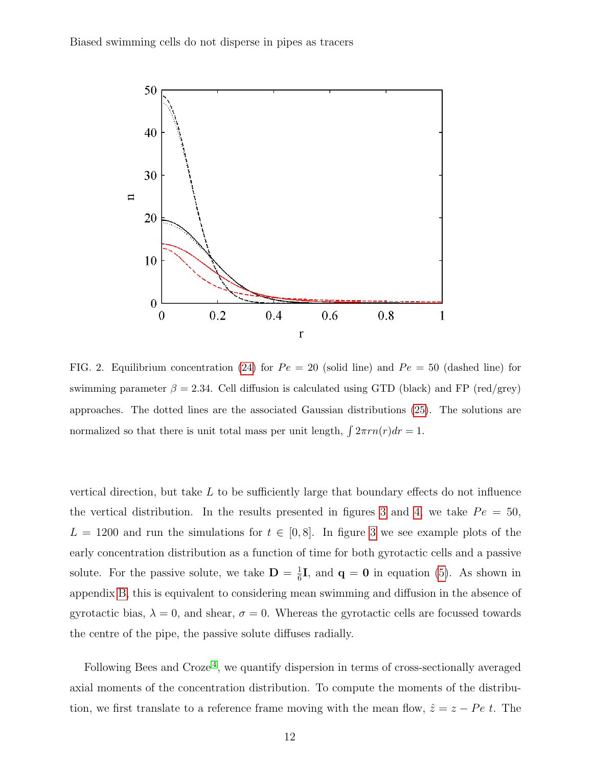

<span id="page-11-0"></span>FIG. 2. Equilibrium concentration [\(24\)](#page-9-0) for  $Pe = 20$  (solid line) and  $Pe = 50$  (dashed line) for swimming parameter  $\beta = 2.34$ . Cell diffusion is calculated using GTD (black) and FP (red/grey) approaches. The dotted lines are the associated Gaussian distributions [\(25\)](#page-10-0). The solutions are normalized so that there is unit total mass per unit length,  $\int 2\pi r n(r) dr = 1$ .

vertical direction, but take  $L$  to be sufficiently large that boundary effects do not influence the vertical distribution. In the results presented in figures [3](#page-12-0) and [4,](#page-13-0) we take  $Pe = 50$ ,  $L = 1200$  and run the simulations for  $t \in [0, 8]$ . In figure [3](#page-12-0) we see example plots of the early concentration distribution as a function of time for both gyrotactic cells and a passive solute. For the passive solute, we take  $\mathbf{D} = \frac{1}{6}$  $\frac{1}{6}$ **I**, and **q** = **0** in equation [\(5\)](#page-4-2). As shown in appendix [B,](#page-16-0) this is equivalent to considering mean swimming and diffusion in the absence of gyrotactic bias,  $\lambda = 0$ , and shear,  $\sigma = 0$ . Whereas the gyrotactic cells are focussed towards the centre of the pipe, the passive solute diffuses radially.

Following Bees and Croze<sup>[4](#page-26-3)</sup>, we quantify dispersion in terms of cross-sectionally averaged axial moments of the concentration distribution. To compute the moments of the distribution, we first translate to a reference frame moving with the mean flow,  $\hat{z} = z - Pe t$ . The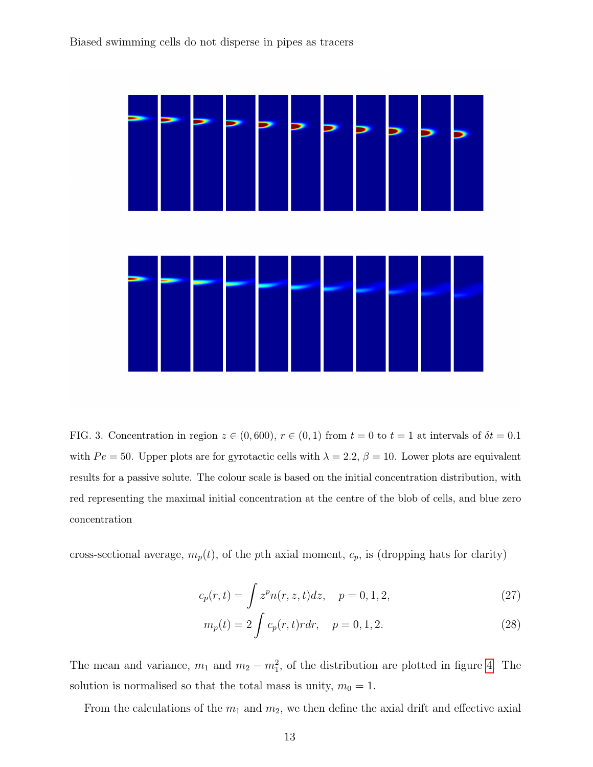

<span id="page-12-0"></span>FIG. 3. Concentration in region  $z \in (0, 600)$ ,  $r \in (0, 1)$  from  $t = 0$  to  $t = 1$  at intervals of  $\delta t = 0.1$ with  $Pe = 50$ . Upper plots are for gyrotactic cells with  $\lambda = 2.2$ ,  $\beta = 10$ . Lower plots are equivalent results for a passive solute. The colour scale is based on the initial concentration distribution, with red representing the maximal initial concentration at the centre of the blob of cells, and blue zero concentration

cross-sectional average,  $m_p(t)$ , of the pth axial moment,  $c_p$ , is (dropping hats for clarity)

$$
c_p(r,t) = \int z^p n(r,z,t)dz, \quad p = 0, 1, 2,
$$
\n(27)

$$
m_p(t) = 2 \int c_p(r, t) r dr, \quad p = 0, 1, 2.
$$
 (28)

The mean and variance,  $m_1$  and  $m_2 - m_1^2$ , of the distribution are plotted in figure [4.](#page-13-0) The solution is normalised so that the total mass is unity,  $m_0 = 1$ .

From the calculations of the  $m_1$  and  $m_2$ , we then define the axial drift and effective axial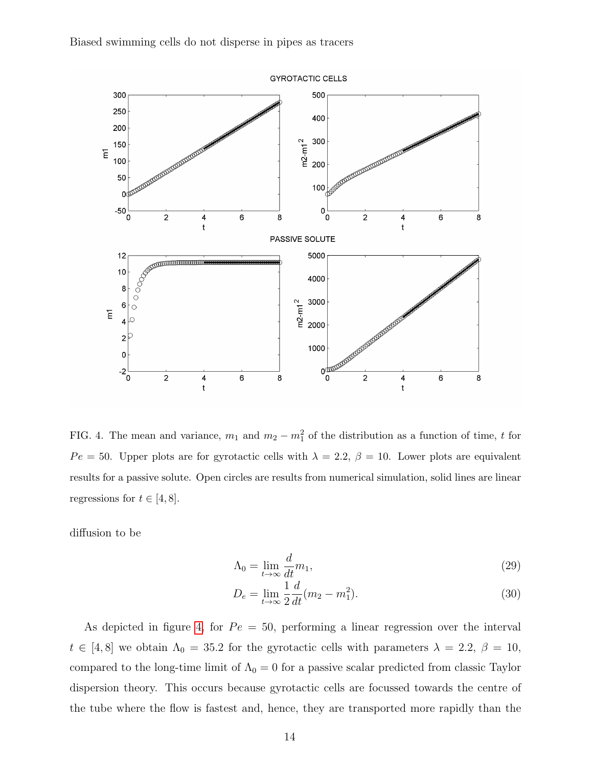

<span id="page-13-0"></span>FIG. 4. The mean and variance,  $m_1$  and  $m_2 - m_1^2$  of the distribution as a function of time, t for  $Pe = 50$ . Upper plots are for gyrotactic cells with  $\lambda = 2.2$ ,  $\beta = 10$ . Lower plots are equivalent results for a passive solute. Open circles are results from numerical simulation, solid lines are linear regressions for  $t \in [4, 8]$ .

diffusion to be

$$
\Lambda_0 = \lim_{t \to \infty} \frac{d}{dt} m_1,\tag{29}
$$

$$
D_e = \lim_{t \to \infty} \frac{1}{2} \frac{d}{dt} (m_2 - m_1^2).
$$
 (30)

As depicted in figure [4,](#page-13-0) for  $Pe = 50$ , performing a linear regression over the interval  $t \in [4, 8]$  we obtain  $\Lambda_0 = 35.2$  for the gyrotactic cells with parameters  $\lambda = 2.2, \beta = 10$ , compared to the long-time limit of  $\Lambda_0 = 0$  for a passive scalar predicted from classic Taylor dispersion theory. This occurs because gyrotactic cells are focussed towards the centre of the tube where the flow is fastest and, hence, they are transported more rapidly than the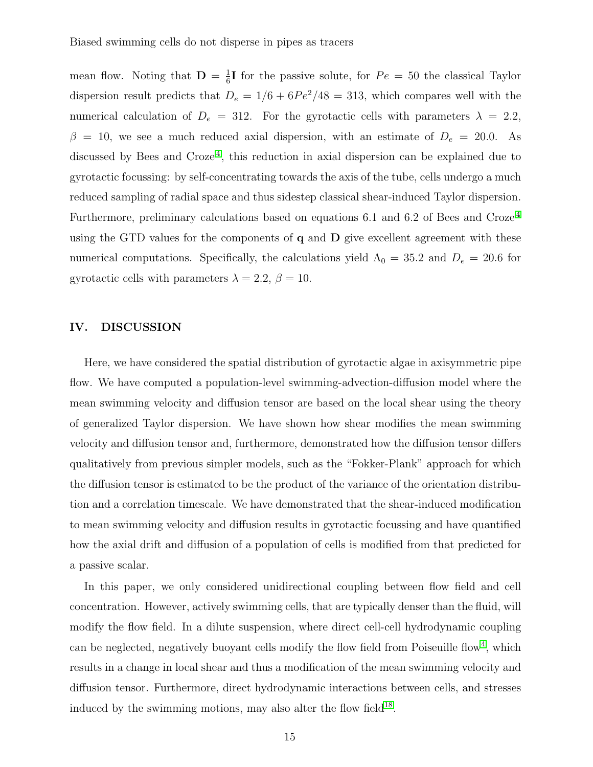mean flow. Noting that  $\mathbf{D} = \frac{1}{6}$  $\frac{1}{6}$ I for the passive solute, for  $Pe = 50$  the classical Taylor dispersion result predicts that  $D_e = 1/6 + 6Pe^2/48 = 313$ , which compares well with the numerical calculation of  $D_e = 312$ . For the gyrotactic cells with parameters  $\lambda = 2.2$ ,  $\beta = 10$ , we see a much reduced axial dispersion, with an estimate of  $D_e = 20.0$ . As discussed by Bees and Croze<sup>[4](#page-26-3)</sup>, this reduction in axial dispersion can be explained due to gyrotactic focussing: by self-concentrating towards the axis of the tube, cells undergo a much reduced sampling of radial space and thus sidestep classical shear-induced Taylor dispersion. Furthermore, preliminary calculations based on equations 6.1 and 6.2 of Bees and Croze<sup>[4](#page-26-3)</sup> using the GTD values for the components of  $q$  and  $D$  give excellent agreement with these numerical computations. Specifically, the calculations yield  $\Lambda_0 = 35.2$  and  $D_e = 20.6$  for gyrotactic cells with parameters  $\lambda = 2.2, \beta = 10$ .

## IV. DISCUSSION

Here, we have considered the spatial distribution of gyrotactic algae in axisymmetric pipe flow. We have computed a population-level swimming-advection-diffusion model where the mean swimming velocity and diffusion tensor are based on the local shear using the theory of generalized Taylor dispersion. We have shown how shear modifies the mean swimming velocity and diffusion tensor and, furthermore, demonstrated how the diffusion tensor differs qualitatively from previous simpler models, such as the "Fokker-Plank" approach for which the diffusion tensor is estimated to be the product of the variance of the orientation distribution and a correlation timescale. We have demonstrated that the shear-induced modification to mean swimming velocity and diffusion results in gyrotactic focussing and have quantified how the axial drift and diffusion of a population of cells is modified from that predicted for a passive scalar.

In this paper, we only considered unidirectional coupling between flow field and cell concentration. However, actively swimming cells, that are typically denser than the fluid, will modify the flow field. In a dilute suspension, where direct cell-cell hydrodynamic coupling can be neglected, negatively buoyant cells modify the flow field from Poiseuille flow<sup>[4](#page-26-3)</sup>, which results in a change in local shear and thus a modification of the mean swimming velocity and diffusion tensor. Furthermore, direct hydrodynamic interactions between cells, and stresses induced by the swimming motions, may also alter the flow field $18$ .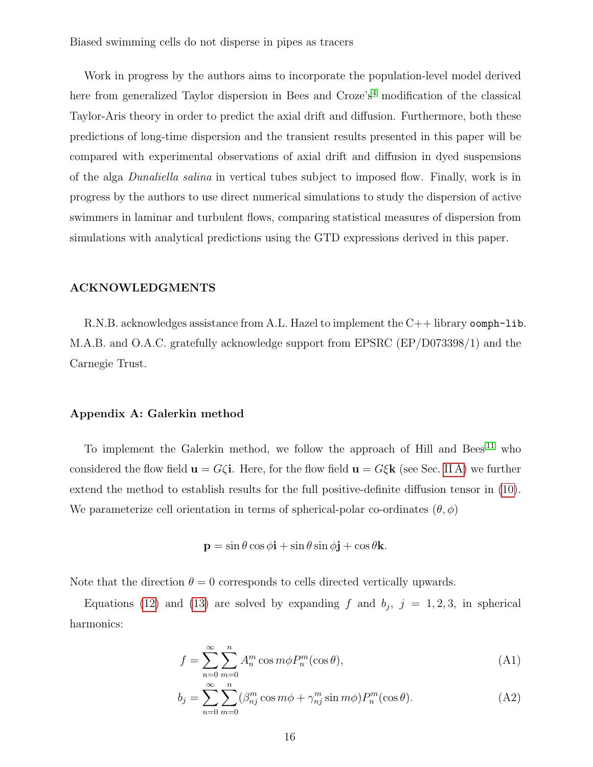Work in progress by the authors aims to incorporate the population-level model derived here from generalized Taylor dispersion in Bees and  $C_1 \text{roze's}^4$  $C_1 \text{roze's}^4$  modification of the classical Taylor-Aris theory in order to predict the axial drift and diffusion. Furthermore, both these predictions of long-time dispersion and the transient results presented in this paper will be compared with experimental observations of axial drift and diffusion in dyed suspensions of the alga Dunaliella salina in vertical tubes subject to imposed flow. Finally, work is in progress by the authors to use direct numerical simulations to study the dispersion of active swimmers in laminar and turbulent flows, comparing statistical measures of dispersion from simulations with analytical predictions using the GTD expressions derived in this paper.

### ACKNOWLEDGMENTS

R.N.B. acknowledges assistance from A.L. Hazel to implement the C++ library oomph-lib. M.A.B. and O.A.C. gratefully acknowledge support from EPSRC (EP/D073398/1) and the Carnegie Trust.

#### <span id="page-15-0"></span>Appendix A: Galerkin method

To implement the Galerkin method, we follow the approach of Hill and Bees<sup>[11](#page-27-4)</sup> who considered the flow field  $\mathbf{u} = G\zeta\mathbf{i}$ . Here, for the flow field  $\mathbf{u} = G\zeta\mathbf{k}$  (see Sec. [II A\)](#page-3-2) we further extend the method to establish results for the full positive-definite diffusion tensor in [\(10\)](#page-4-1). We parameterize cell orientation in terms of spherical-polar co-ordinates  $(\theta, \phi)$ 

$$
\mathbf{p} = \sin \theta \cos \phi \mathbf{i} + \sin \theta \sin \phi \mathbf{j} + \cos \theta \mathbf{k}.
$$

Note that the direction  $\theta = 0$  corresponds to cells directed vertically upwards.

Equations [\(12\)](#page-5-2) and [\(13\)](#page-5-2) are solved by expanding f and  $b_j$ ,  $j = 1, 2, 3$ , in spherical harmonics:

$$
f = \sum_{n=0}^{\infty} \sum_{m=0}^{n} A_n^m \cos m\phi P_n^m(\cos \theta), \tag{A1}
$$

$$
b_j = \sum_{n=0}^{\infty} \sum_{m=0}^{n} (\beta_{nj}^m \cos m\phi + \gamma_{nj}^m \sin m\phi) P_n^m(\cos \theta).
$$
 (A2)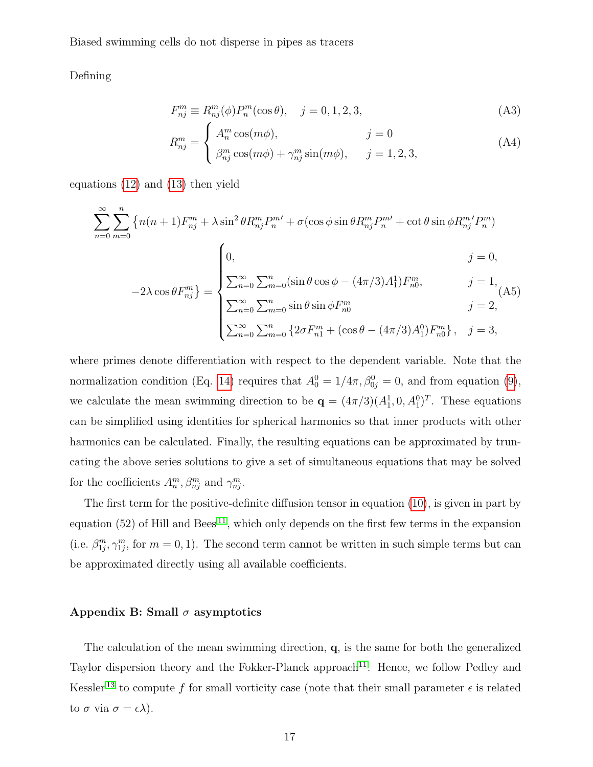Defining

$$
F_{nj}^m \equiv R_{nj}^m(\phi) P_n^m(\cos \theta), \quad j = 0, 1, 2, 3,
$$
 (A3)

$$
R_{nj}^m = \begin{cases} A_n^m \cos(m\phi), & j = 0\\ \beta_{nj}^m \cos(m\phi) + \gamma_{nj}^m \sin(m\phi), & j = 1, 2, 3, \end{cases}
$$
(A4)

equations [\(12\)](#page-5-2) and [\(13\)](#page-5-2) then yield

$$
\sum_{n=0}^{\infty} \sum_{m=0}^{n} \left\{ n(n+1) F_{nj}^{m} + \lambda \sin^{2} \theta R_{nj}^{m} P_{n}^{m'} + \sigma(\cos \phi \sin \theta R_{nj}^{m} P_{n}^{m'} + \cot \theta \sin \phi R_{nj}^{m'} P_{n}^{m}) \right\}
$$
\n
$$
-2\lambda \cos \theta F_{nj}^{m} \right\} = \begin{cases}\n0, & j = 0, \\
\sum_{n=0}^{\infty} \sum_{m=0}^{n} (\sin \theta \cos \phi - (4\pi/3)A_{1}^{1}) F_{n0}^{m}, & j = 1, \\
\sum_{n=0}^{\infty} \sum_{m=0}^{n} \sin \theta \sin \phi F_{n0}^{m} & j = 2, \\
\sum_{n=0}^{\infty} \sum_{m=0}^{n} \left\{ 2\sigma F_{n1}^{m} + (\cos \theta - (4\pi/3)A_{1}^{0}) F_{n0}^{m} \right\}, & j = 3,\n\end{cases}
$$

where primes denote differentiation with respect to the dependent variable. Note that the normalization condition (Eq. [14\)](#page-5-3) requires that  $A_0^0 = 1/4\pi$ ,  $\beta_{0j}^0 = 0$ , and from equation [\(9\)](#page-4-1), we calculate the mean swimming direction to be  $\mathbf{q} = (4\pi/3)(A_1^1, 0, A_1^0)^T$ . These equations can be simplified using identities for spherical harmonics so that inner products with other harmonics can be calculated. Finally, the resulting equations can be approximated by truncating the above series solutions to give a set of simultaneous equations that may be solved for the coefficients  $A_n^m, \beta_{nj}^m$  and  $\gamma_{nj}^m$ .

The first term for the positive-definite diffusion tensor in equation [\(10\)](#page-4-1), is given in part by equation (52) of Hill and Bees<sup>[11](#page-27-4)</sup>, which only depends on the first few terms in the expansion (i.e.  $\beta_{1j}^m, \gamma_{1j}^m$ , for  $m = 0, 1$ ). The second term cannot be written in such simple terms but can be approximated directly using all available coefficients.

#### <span id="page-16-0"></span>Appendix B: Small  $\sigma$  asymptotics

The calculation of the mean swimming direction, q, is the same for both the generalized Taylor dispersion theory and the Fokker-Planck approach<sup>[11](#page-27-4)</sup>. Hence, we follow Pedley and Kessler<sup>[13](#page-27-6)</sup> to compute f for small vorticity case (note that their small parameter  $\epsilon$  is related to  $\sigma$  via  $\sigma = \epsilon \lambda$ ).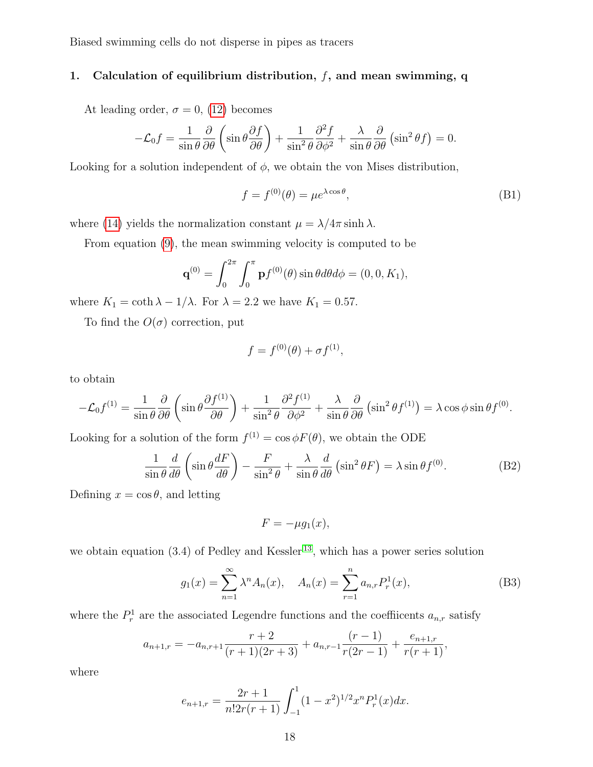## 1. Calculation of equilibrium distribution,  $f$ , and mean swimming, q

At leading order,  $\sigma = 0$ , [\(12\)](#page-5-2) becomes

$$
-\mathcal{L}_0 f = \frac{1}{\sin \theta} \frac{\partial}{\partial \theta} \left( \sin \theta \frac{\partial f}{\partial \theta} \right) + \frac{1}{\sin^2 \theta} \frac{\partial^2 f}{\partial \phi^2} + \frac{\lambda}{\sin \theta} \frac{\partial}{\partial \theta} \left( \sin^2 \theta f \right) = 0.
$$

Looking for a solution independent of  $\phi$ , we obtain the von Mises distribution,

$$
f = f^{(0)}(\theta) = \mu e^{\lambda \cos \theta},
$$
 (B1)

where [\(14\)](#page-5-3) yields the normalization constant  $\mu = \lambda/4\pi \sinh \lambda$ .

From equation [\(9\)](#page-4-1), the mean swimming velocity is computed to be

$$
\mathbf{q}^{(0)} = \int_0^{2\pi} \int_0^{\pi} \mathbf{p} f^{(0)}(\theta) \sin \theta d\theta d\phi = (0, 0, K_1),
$$

where  $K_1 = \coth \lambda - 1/\lambda$ . For  $\lambda = 2.2$  we have  $K_1 = 0.57$ .

To find the  $O(\sigma)$  correction, put

$$
f = f^{(0)}(\theta) + \sigma f^{(1)},
$$

to obtain

$$
-\mathcal{L}_0 f^{(1)} = \frac{1}{\sin \theta} \frac{\partial}{\partial \theta} \left( \sin \theta \frac{\partial f^{(1)}}{\partial \theta} \right) + \frac{1}{\sin^2 \theta} \frac{\partial^2 f^{(1)}}{\partial \phi^2} + \frac{\lambda}{\sin \theta} \frac{\partial}{\partial \theta} \left( \sin^2 \theta f^{(1)} \right) = \lambda \cos \phi \sin \theta f^{(0)}.
$$

Looking for a solution of the form  $f^{(1)} = \cos \phi F(\theta)$ , we obtain the ODE

<span id="page-17-0"></span>
$$
\frac{1}{\sin\theta}\frac{d}{d\theta}\left(\sin\theta\frac{dF}{d\theta}\right) - \frac{F}{\sin^2\theta} + \frac{\lambda}{\sin\theta}\frac{d}{d\theta}\left(\sin^2\theta F\right) = \lambda\sin\theta f^{(0)}.\tag{B2}
$$

Defining  $x = \cos \theta$ , and letting

$$
F = -\mu g_1(x),
$$

we obtain equation  $(3.4)$  of Pedley and Kessler<sup>[13](#page-27-6)</sup>, which has a power series solution

$$
g_1(x) = \sum_{n=1}^{\infty} \lambda^n A_n(x), \quad A_n(x) = \sum_{r=1}^n a_{n,r} P_r^1(x), \tag{B3}
$$

where the  $P_r^1$  are the associated Legendre functions and the coefficents  $a_{n,r}$  satisfy

$$
a_{n+1,r} = -a_{n,r+1} \frac{r+2}{(r+1)(2r+3)} + a_{n,r-1} \frac{(r-1)}{r(2r-1)} + \frac{e_{n+1,r}}{r(r+1)},
$$

where

$$
e_{n+1,r} = \frac{2r+1}{n!2r(r+1)} \int_{-1}^{1} (1-x^2)^{1/2} x^n P_r^1(x) dx.
$$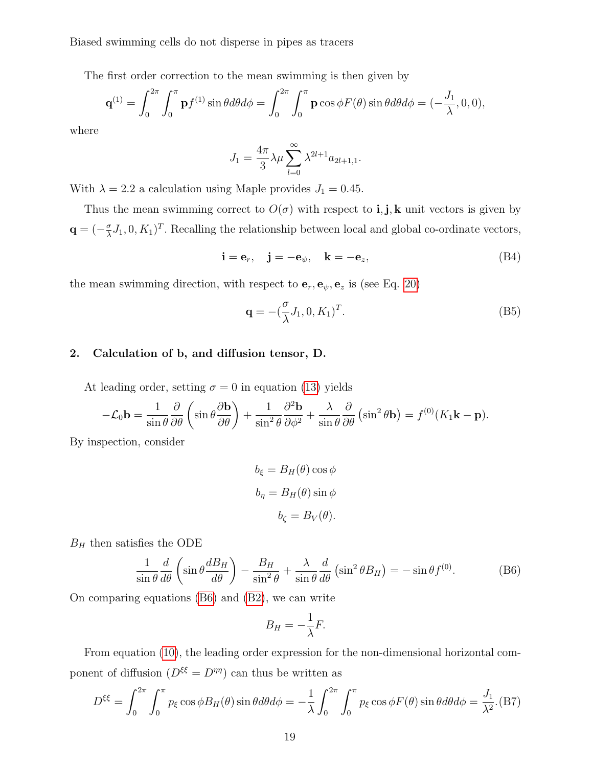The first order correction to the mean swimming is then given by

$$
\mathbf{q}^{(1)} = \int_0^{2\pi} \int_0^{\pi} \mathbf{p} f^{(1)} \sin \theta d\theta d\phi = \int_0^{2\pi} \int_0^{\pi} \mathbf{p} \cos \phi F(\theta) \sin \theta d\theta d\phi = (-\frac{J_1}{\lambda}, 0, 0),
$$

where

$$
J_1 = \frac{4\pi}{3} \lambda \mu \sum_{l=0}^{\infty} \lambda^{2l+1} a_{2l+1,1}.
$$

With  $\lambda = 2.2$  a calculation using Maple provides  $J_1 = 0.45$ .

Thus the mean swimming correct to  $O(\sigma)$  with respect to **i**, **j**, **k** unit vectors is given by  $\mathbf{q} = \left(-\frac{\sigma}{\lambda}\right)$  $\frac{\sigma}{\lambda} J_1, 0, K_1$ <sup>T</sup>. Recalling the relationship between local and global co-ordinate vectors,

$$
\mathbf{i} = \mathbf{e}_r, \quad \mathbf{j} = -\mathbf{e}_\psi, \quad \mathbf{k} = -\mathbf{e}_z,\tag{B4}
$$

the mean swimming direction, with respect to  $\mathbf{e}_r, \mathbf{e}_\psi, \mathbf{e}_z$  is (see Eq. [20\)](#page-7-1)

$$
\mathbf{q} = -(\frac{\sigma}{\lambda}J_1, 0, K_1)^T.
$$
 (B5)

#### <span id="page-18-0"></span>2. Calculation of b, and diffusion tensor, D.

At leading order, setting  $\sigma = 0$  in equation [\(13\)](#page-5-2) yields

$$
-\mathcal{L}_0 \mathbf{b} = \frac{1}{\sin \theta} \frac{\partial}{\partial \theta} \left( \sin \theta \frac{\partial \mathbf{b}}{\partial \theta} \right) + \frac{1}{\sin^2 \theta} \frac{\partial^2 \mathbf{b}}{\partial \phi^2} + \frac{\lambda}{\sin \theta} \frac{\partial}{\partial \theta} \left( \sin^2 \theta \mathbf{b} \right) = f^{(0)}(K_1 \mathbf{k} - \mathbf{p}).
$$

By inspection, consider

$$
b_{\xi} = B_H(\theta) \cos \phi
$$
  

$$
b_{\eta} = B_H(\theta) \sin \phi
$$
  

$$
b_{\zeta} = B_V(\theta).
$$

 $B_H$  then satisfies the ODE

<span id="page-18-1"></span>
$$
\frac{1}{\sin\theta}\frac{d}{d\theta}\left(\sin\theta\frac{dB_H}{d\theta}\right) - \frac{B_H}{\sin^2\theta} + \frac{\lambda}{\sin\theta}\frac{d}{d\theta}\left(\sin^2\theta B_H\right) = -\sin\theta f^{(0)}.\tag{B6}
$$

On comparing equations [\(B6\)](#page-18-1) and [\(B2\)](#page-17-0), we can write

$$
B_H = -\frac{1}{\lambda}F.
$$

From equation [\(10\)](#page-4-1), the leading order expression for the non-dimensional horizontal component of diffusion  $(D^{\xi\xi} = D^{\eta\eta})$  can thus be written as

$$
D^{\xi\xi} = \int_0^{2\pi} \int_0^{\pi} p_{\xi} \cos \phi B_H(\theta) \sin \theta d\theta d\phi = -\frac{1}{\lambda} \int_0^{2\pi} \int_0^{\pi} p_{\xi} \cos \phi F(\theta) \sin \theta d\theta d\phi = \frac{J_1}{\lambda^2}.
$$
 (B7)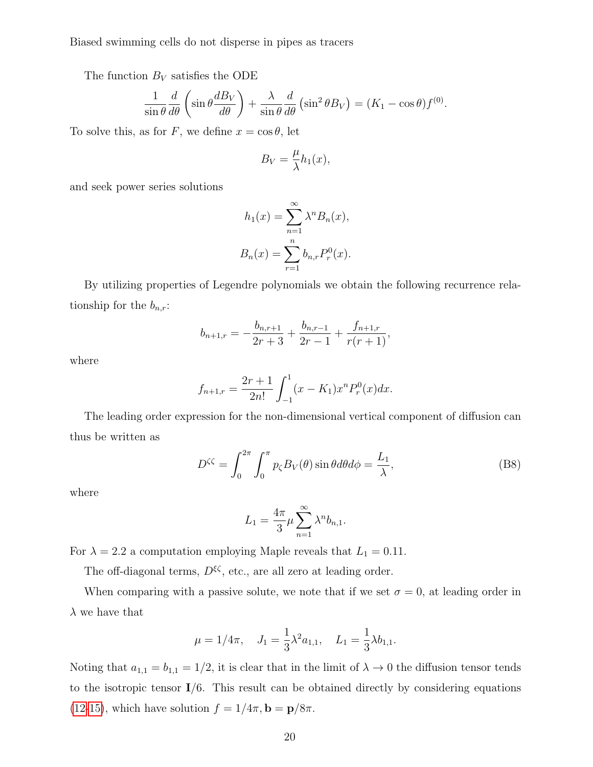The function  $B_V$  satisfies the ODE

$$
\frac{1}{\sin\theta}\frac{d}{d\theta}\left(\sin\theta\frac{dB_V}{d\theta}\right) + \frac{\lambda}{\sin\theta}\frac{d}{d\theta}\left(\sin^2\theta B_V\right) = (K_1 - \cos\theta)f^{(0)}.
$$

To solve this, as for F, we define  $x = \cos \theta$ , let

$$
B_V = \frac{\mu}{\lambda} h_1(x),
$$

and seek power series solutions

$$
h_1(x) = \sum_{n=1}^{\infty} \lambda^n B_n(x),
$$
  

$$
B_n(x) = \sum_{r=1}^n b_{n,r} P_r^0(x).
$$

By utilizing properties of Legendre polynomials we obtain the following recurrence relationship for the  $b_{n,r}$ :

$$
b_{n+1,r} = -\frac{b_{n,r+1}}{2r+3} + \frac{b_{n,r-1}}{2r-1} + \frac{f_{n+1,r}}{r(r+1)},
$$

where

$$
f_{n+1,r} = \frac{2r+1}{2n!} \int_{-1}^{1} (x - K_1) x^n P_r^0(x) dx.
$$

The leading order expression for the non-dimensional vertical component of diffusion can thus be written as

$$
D^{\zeta\zeta} = \int_0^{2\pi} \int_0^{\pi} p_{\zeta} B_V(\theta) \sin \theta d\theta d\phi = \frac{L_1}{\lambda},
$$
 (B8)

where

$$
L_1 = \frac{4\pi}{3}\mu \sum_{n=1}^{\infty} \lambda^n b_{n,1}.
$$

For  $\lambda = 2.2$  a computation employing Maple reveals that  $L_1 = 0.11$ .

The off-diagonal terms,  $D^{\xi\zeta}$ , etc., are all zero at leading order.

When comparing with a passive solute, we note that if we set  $\sigma = 0$ , at leading order in  $\lambda$  we have that

$$
\mu = 1/4\pi
$$
,  $J_1 = \frac{1}{3}\lambda^2 a_{1,1}$ ,  $L_1 = \frac{1}{3}\lambda b_{1,1}$ .

Noting that  $a_{1,1} = b_{1,1} = 1/2$ , it is clear that in the limit of  $\lambda \to 0$  the diffusion tensor tends to the isotropic tensor  $I/6$ . This result can be obtained directly by considering equations [\(12](#page-5-2)[-15\)](#page-5-4), which have solution  $f = 1/4\pi$ ,  $\mathbf{b} = \mathbf{p}/8\pi$ .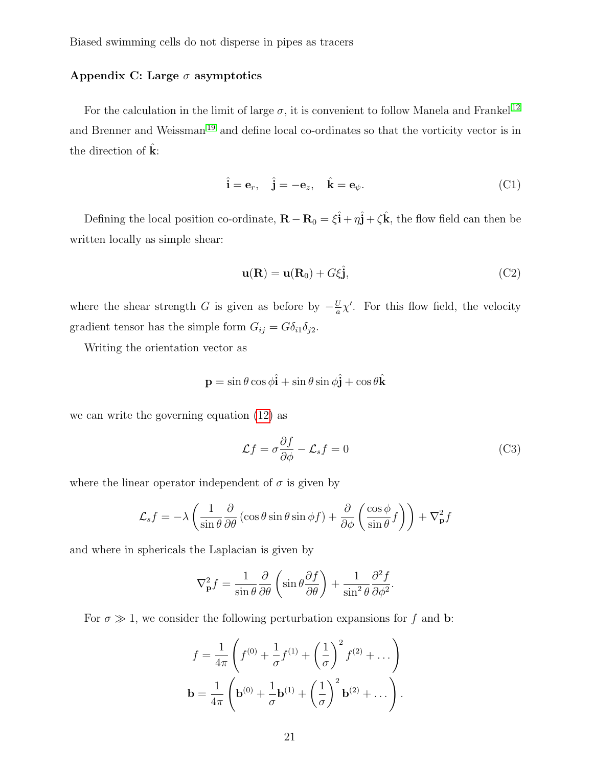## <span id="page-20-0"></span>Appendix C: Large  $\sigma$  asymptotics

For the calculation in the limit of large  $\sigma,$  it is convenient to follow Manela and Frankel  $^{12}$  $^{12}$  $^{12}$ and Brenner and Weissman<sup>[19](#page-27-12)</sup> and define local co-ordinates so that the vorticity vector is in the direction of  $k$ :

$$
\hat{\mathbf{i}} = \mathbf{e}_r, \quad \hat{\mathbf{j}} = -\mathbf{e}_z, \quad \hat{\mathbf{k}} = \mathbf{e}_\psi.
$$
 (C1)

Defining the local position co-ordinate,  $\mathbf{R} - \mathbf{R}_0 = \xi \hat{\mathbf{i}} + \eta \hat{\mathbf{j}} + \zeta \hat{\mathbf{k}}$ , the flow field can then be written locally as simple shear:

$$
\mathbf{u}(\mathbf{R}) = \mathbf{u}(\mathbf{R}_0) + G\xi \hat{\mathbf{j}},\tag{C2}
$$

where the shear strength G is given as before by  $-\frac{U}{a}$  $\frac{U}{a}\chi'$ . For this flow field, the velocity gradient tensor has the simple form  $G_{ij} = G \delta_{i1} \delta_{j2}$ .

Writing the orientation vector as

$$
\mathbf{p} = \sin \theta \cos \phi \hat{\mathbf{i}} + \sin \theta \sin \phi \hat{\mathbf{j}} + \cos \theta \hat{\mathbf{k}}
$$

we can write the governing equation [\(12\)](#page-5-2) as

<span id="page-20-1"></span>
$$
\mathcal{L}f = \sigma \frac{\partial f}{\partial \phi} - \mathcal{L}_s f = 0
$$
 (C3)

where the linear operator independent of  $\sigma$  is given by

$$
\mathcal{L}_s f = -\lambda \left( \frac{1}{\sin \theta} \frac{\partial}{\partial \theta} \left( \cos \theta \sin \theta \sin \phi f \right) + \frac{\partial}{\partial \phi} \left( \frac{\cos \phi}{\sin \theta} f \right) \right) + \nabla^2_{\mathbf{p}} f
$$

and where in sphericals the Laplacian is given by

$$
\nabla_{\mathbf{p}}^2 f = \frac{1}{\sin \theta} \frac{\partial}{\partial \theta} \left( \sin \theta \frac{\partial f}{\partial \theta} \right) + \frac{1}{\sin^2 \theta} \frac{\partial^2 f}{\partial \phi^2}.
$$

For  $\sigma \gg 1$ , we consider the following perturbation expansions for f and b:

$$
f = \frac{1}{4\pi} \left( f^{(0)} + \frac{1}{\sigma} f^{(1)} + \left(\frac{1}{\sigma}\right)^2 f^{(2)} + \dots \right)
$$

$$
\mathbf{b} = \frac{1}{4\pi} \left( \mathbf{b}^{(0)} + \frac{1}{\sigma} \mathbf{b}^{(1)} + \left(\frac{1}{\sigma}\right)^2 \mathbf{b}^{(2)} + \dots \right).
$$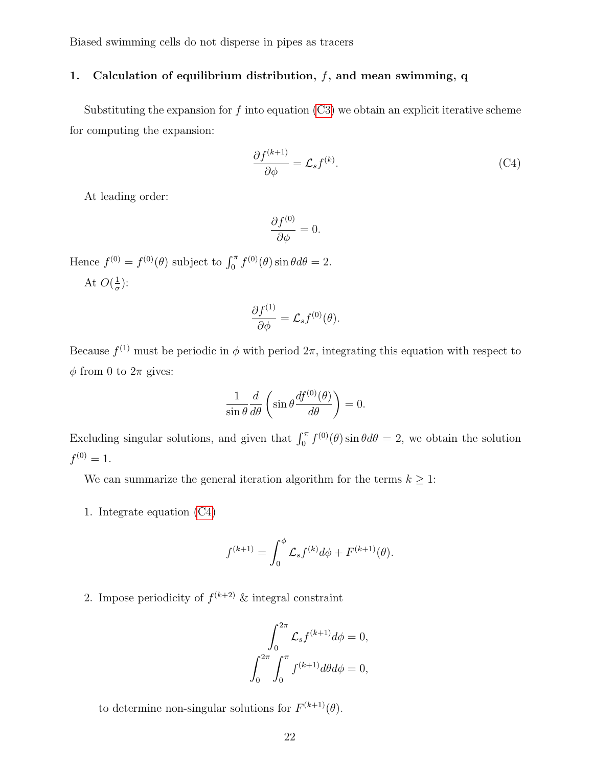## 1. Calculation of equilibrium distribution,  $f$ , and mean swimming, q

Substituting the expansion for  $f$  into equation  $(C3)$  we obtain an explicit iterative scheme for computing the expansion:

<span id="page-21-0"></span>
$$
\frac{\partial f^{(k+1)}}{\partial \phi} = \mathcal{L}_s f^{(k)}.\tag{C4}
$$

At leading order:

$$
\frac{\partial f^{(0)}}{\partial \phi} = 0.
$$

Hence  $f^{(0)} = f^{(0)}(\theta)$  subject to  $\int_0^{\pi} f^{(0)}(\theta) \sin \theta d\theta = 2$ . At  $O(\frac{1}{\sigma})$  $\frac{1}{\sigma}$ ):

$$
\frac{\partial f^{(1)}}{\partial \phi} = \mathcal{L}_s f^{(0)}(\theta).
$$

Because  $f^{(1)}$  must be periodic in  $\phi$  with period  $2\pi$ , integrating this equation with respect to  $\phi$  from 0 to  $2\pi$  gives:

$$
\frac{1}{\sin \theta} \frac{d}{d\theta} \left( \sin \theta \frac{df^{(0)}(\theta)}{d\theta} \right) = 0.
$$

Excluding singular solutions, and given that  $\int_0^{\pi} f^{(0)}(\theta) \sin \theta d\theta = 2$ , we obtain the solution  $f^{(0)}=1.$ 

We can summarize the general iteration algorithm for the terms  $k \geq 1$ :

1. Integrate equation [\(C4\)](#page-21-0)

$$
f^{(k+1)} = \int_0^{\phi} \mathcal{L}_s f^{(k)} d\phi + F^{(k+1)}(\theta).
$$

2. Impose periodicity of  $f^{(k+2)}$  & integral constraint

$$
\int_0^{2\pi} \mathcal{L}_s f^{(k+1)} d\phi = 0,
$$
  

$$
\int_0^{2\pi} \int_0^{\pi} f^{(k+1)} d\theta d\phi = 0,
$$

to determine non-singular solutions for  $F^{(k+1)}(\theta)$ .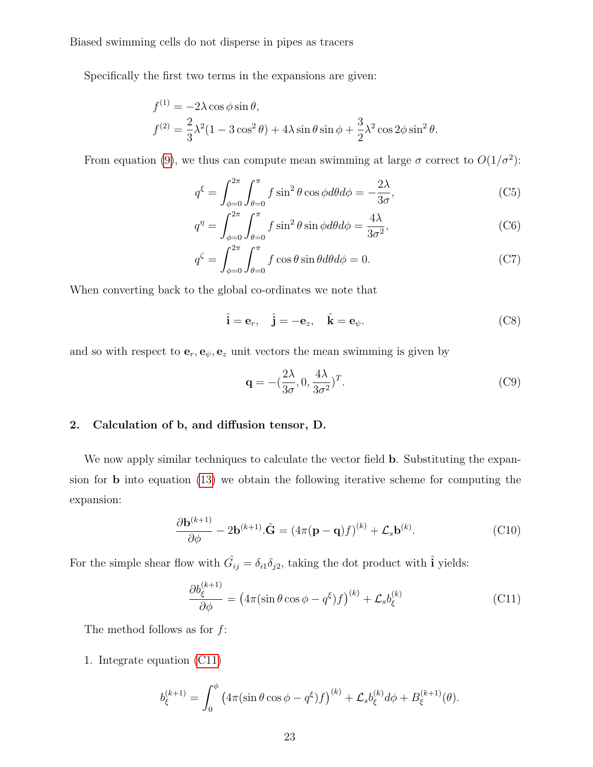Specifically the first two terms in the expansions are given:

$$
f^{(1)} = -2\lambda \cos \phi \sin \theta,
$$
  

$$
f^{(2)} = \frac{2}{3}\lambda^2 (1 - 3\cos^2 \theta) + 4\lambda \sin \theta \sin \phi + \frac{3}{2}\lambda^2 \cos 2\phi \sin^2 \theta.
$$

From equation [\(9\)](#page-4-1), we thus can compute mean swimming at large  $\sigma$  correct to  $O(1/\sigma^2)$ :

$$
q^{\xi} = \int_{\phi=0}^{2\pi} \int_{\theta=0}^{\pi} f \sin^2 \theta \cos \phi d\theta d\phi = -\frac{2\lambda}{3\sigma},\tag{C5}
$$

$$
q^{\eta} = \int_{\phi=0}^{2\pi} \int_{\theta=0}^{\pi} f \sin^2 \theta \sin \phi d\theta d\phi = \frac{4\lambda}{3\sigma^2},
$$
 (C6)

$$
q^{\zeta} = \int_{\phi=0}^{2\pi} \int_{\theta=0}^{\pi} f \cos \theta \sin \theta d\theta d\phi = 0.
$$
 (C7)

When converting back to the global co-ordinates we note that

$$
\hat{\mathbf{i}} = \mathbf{e}_r, \quad \hat{\mathbf{j}} = -\mathbf{e}_z, \quad \hat{\mathbf{k}} = \mathbf{e}_\psi.
$$
 (C8)

and so with respect to  $e_r, e_\psi, e_z$  unit vectors the mean swimming is given by

$$
\mathbf{q} = -(\frac{2\lambda}{3\sigma}, 0, \frac{4\lambda}{3\sigma^2})^T.
$$
 (C9)

## 2. Calculation of b, and diffusion tensor, D.

We now apply similar techniques to calculate the vector field **b**. Substituting the expansion for b into equation [\(13\)](#page-5-2) we obtain the following iterative scheme for computing the expansion:

<span id="page-22-1"></span>
$$
\frac{\partial \mathbf{b}^{(k+1)}}{\partial \phi} - 2\mathbf{b}^{(k+1)} \cdot \hat{\mathbf{G}} = (4\pi(\mathbf{p} - \mathbf{q})f)^{(k)} + \mathcal{L}_s \mathbf{b}^{(k)}.
$$
 (C10)

For the simple shear flow with  $\hat{G}_{ij} = \delta_{i1}\delta_{j2}$ , taking the dot product with  $\hat{\mathbf{i}}$  yields:

<span id="page-22-0"></span>
$$
\frac{\partial b_{\xi}^{(k+1)}}{\partial \phi} = (4\pi (\sin \theta \cos \phi - q^{\xi}) f)^{(k)} + \mathcal{L}_s b_{\xi}^{(k)}
$$
(C11)

The method follows as for  $f$ :

1. Integrate equation [\(C11\)](#page-22-0)

$$
b_{\xi}^{(k+1)} = \int_0^{\phi} \left( 4\pi (\sin \theta \cos \phi - q^{\xi}) f \right)^{(k)} + \mathcal{L}_s b_{\xi}^{(k)} d\phi + B_{\xi}^{(k+1)}(\theta).
$$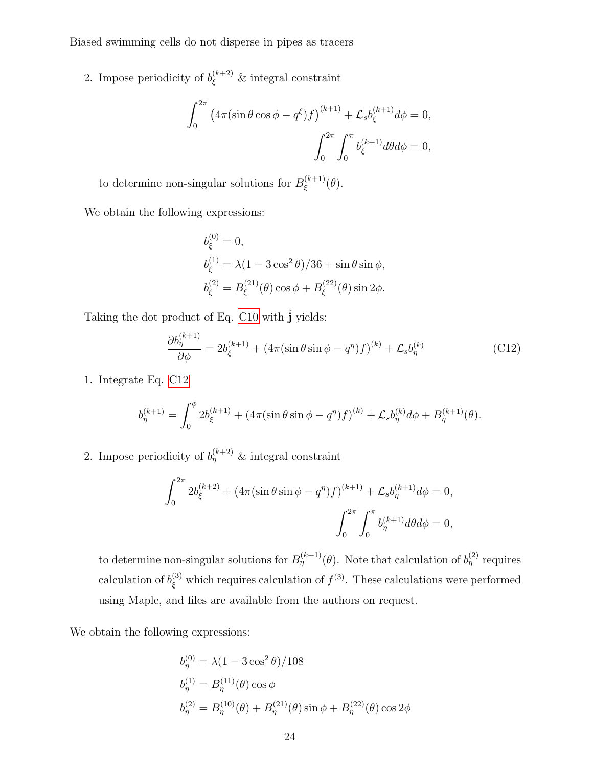2. Impose periodicity of  $b_{\xi}^{(k+2)}$  & integral constraint

$$
\int_0^{2\pi} (4\pi(\sin\theta\cos\phi - q^{\xi})f)^{(k+1)} + \mathcal{L}_s b_{\xi}^{(k+1)} d\phi = 0,
$$

$$
\int_0^{2\pi} \int_0^{\pi} b_{\xi}^{(k+1)} d\theta d\phi = 0,
$$

to determine non-singular solutions for  $B_{\epsilon}^{(k+1)}$  $\zeta^{(\kappa+1)}(\theta).$ 

We obtain the following expressions:

$$
b_{\xi}^{(0)} = 0,
$$
  
\n
$$
b_{\xi}^{(1)} = \lambda (1 - 3 \cos^2 \theta) / 36 + \sin \theta \sin \phi,
$$
  
\n
$$
b_{\xi}^{(2)} = B_{\xi}^{(21)}(\theta) \cos \phi + B_{\xi}^{(22)}(\theta) \sin 2\phi.
$$

Taking the dot product of Eq. [C10](#page-22-1) with  $\hat{\bf j}$  yields:

<span id="page-23-0"></span>
$$
\frac{\partial b_{\eta}^{(k+1)}}{\partial \phi} = 2b_{\xi}^{(k+1)} + (4\pi(\sin \theta \sin \phi - q^{\eta})f)^{(k)} + \mathcal{L}_s b_{\eta}^{(k)}
$$
(C12)

1. Integrate Eq. [C12](#page-23-0)

$$
b_{\eta}^{(k+1)} = \int_0^{\phi} 2b_{\xi}^{(k+1)} + (4\pi(\sin\theta\sin\phi - q^{\eta})f)^{(k)} + \mathcal{L}_s b_{\eta}^{(k)} d\phi + B_{\eta}^{(k+1)}(\theta).
$$

2. Impose periodicity of  $b_{\eta}^{(k+2)}$  & integral constraint

$$
\int_0^{2\pi} 2b_{\xi}^{(k+2)} + (4\pi(\sin\theta\sin\phi - q^{\eta})f)^{(k+1)} + \mathcal{L}_s b_{\eta}^{(k+1)} d\phi = 0,
$$

$$
\int_0^{2\pi} \int_0^{\pi} b_{\eta}^{(k+1)} d\theta d\phi = 0,
$$

to determine non-singular solutions for  $B^{(k+1)}_{\eta}(\theta)$ . Note that calculation of  $b^{(2)}_{\eta}$  requires calculation of  $b_{\xi}^{(3)}$  which requires calculation of  $f^{(3)}$ . These calculations were performed using Maple, and files are available from the authors on request.

We obtain the following expressions:

$$
b_{\eta}^{(0)} = \lambda (1 - 3 \cos^2 \theta) / 108
$$
  
\n
$$
b_{\eta}^{(1)} = B_{\eta}^{(11)}(\theta) \cos \phi
$$
  
\n
$$
b_{\eta}^{(2)} = B_{\eta}^{(10)}(\theta) + B_{\eta}^{(21)}(\theta) \sin \phi + B_{\eta}^{(22)}(\theta) \cos 2\phi
$$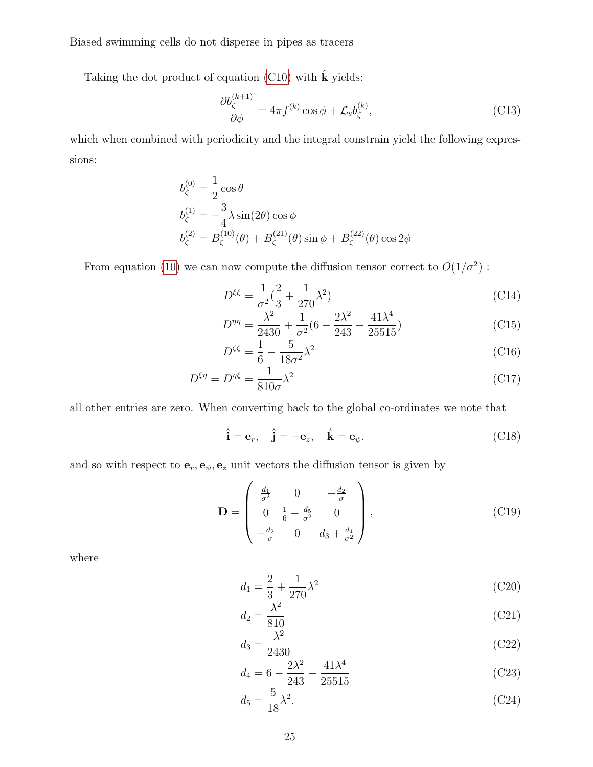Taking the dot product of equation [\(C10\)](#page-22-1) with  $\hat{\mathbf{k}}$  yields:

$$
\frac{\partial b_{\zeta}^{(k+1)}}{\partial \phi} = 4\pi f^{(k)} \cos \phi + \mathcal{L}_s b_{\zeta}^{(k)},\tag{C13}
$$

which when combined with periodicity and the integral constrain yield the following expressions:

$$
b_{\zeta}^{(0)} = \frac{1}{2} \cos \theta
$$
  
\n
$$
b_{\zeta}^{(1)} = -\frac{3}{4} \lambda \sin(2\theta) \cos \phi
$$
  
\n
$$
b_{\zeta}^{(2)} = B_{\zeta}^{(10)}(\theta) + B_{\zeta}^{(21)}(\theta) \sin \phi + B_{\zeta}^{(22)}(\theta) \cos 2\phi
$$

From equation [\(10\)](#page-4-1) we can now compute the diffusion tensor correct to  $O(1/\sigma^2)$ :

$$
D^{\xi\xi} = \frac{1}{\sigma^2} \left(\frac{2}{3} + \frac{1}{270}\lambda^2\right)
$$
 (C14)

$$
D^{\eta\eta} = \frac{\lambda^2}{2430} + \frac{1}{\sigma^2} (6 - \frac{2\lambda^2}{243} - \frac{41\lambda^4}{25515})
$$
 (C15)

$$
D^{\zeta\zeta} = \frac{1}{6} - \frac{5}{18\sigma^2} \lambda^2 \tag{C16}
$$

$$
D^{\xi\eta} = D^{\eta\xi} = \frac{1}{810\sigma} \lambda^2 \tag{C17}
$$

all other entries are zero. When converting back to the global co-ordinates we note that

$$
\hat{\mathbf{i}} = \mathbf{e}_r, \quad \hat{\mathbf{j}} = -\mathbf{e}_z, \quad \hat{\mathbf{k}} = \mathbf{e}_\psi.
$$
 (C18)

and so with respect to  $e_r, e_\psi, e_z$  unit vectors the diffusion tensor is given by

$$
\mathbf{D} = \begin{pmatrix} \frac{d_1}{\sigma^2} & 0 & -\frac{d_2}{\sigma} \\ 0 & \frac{1}{6} - \frac{d_5}{\sigma^2} & 0 \\ -\frac{d_2}{\sigma} & 0 & d_3 + \frac{d_4}{\sigma^2} \end{pmatrix},
$$
(C19)

where

$$
d_1 = \frac{2}{3} + \frac{1}{270} \lambda^2
$$
 (C20)

$$
d_2 = \frac{\lambda^2}{810} \tag{C21}
$$

$$
d_3 = \frac{\lambda^2}{2430} \tag{C22}
$$

$$
d_4 = 6 - \frac{2\lambda^2}{243} - \frac{41\lambda^4}{25515}
$$
 (C23)

$$
d_5 = \frac{5}{18}\lambda^2. \tag{C24}
$$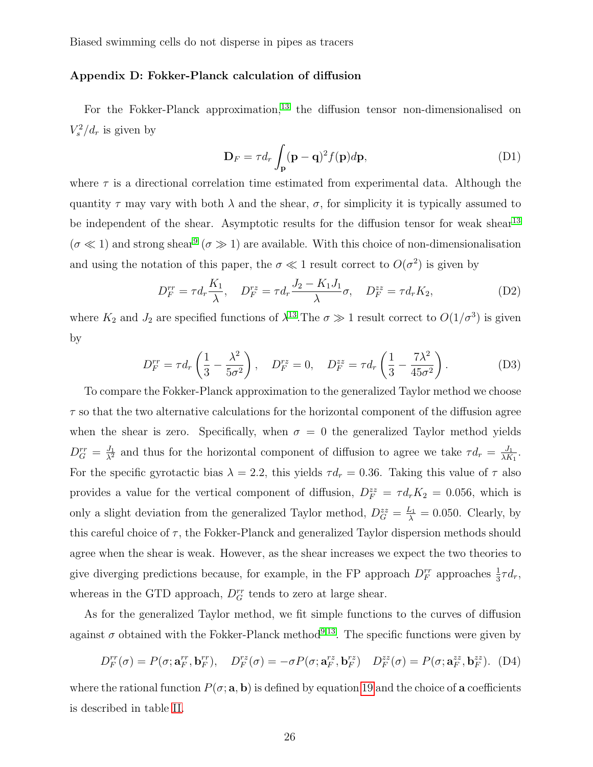## <span id="page-25-0"></span>Appendix D: Fokker-Planck calculation of diffusion

For the Fokker-Planck approximation,<sup>[13](#page-27-6)</sup> the diffusion tensor non-dimensionalised on  $V_s^2/d_r$  is given by

$$
\mathbf{D}_F = \tau d_r \int_{\mathbf{p}} (\mathbf{p} - \mathbf{q})^2 f(\mathbf{p}) d\mathbf{p},\tag{D1}
$$

where  $\tau$  is a directional correlation time estimated from experimental data. Although the quantity  $\tau$  may vary with both  $\lambda$  and the shear,  $\sigma$ , for simplicity it is typically assumed to be independent of the shear. Asymptotic results for the diffusion tensor for weak shear<sup>[13](#page-27-6)</sup>  $(\sigma \ll 1)$  and strong shear<sup>[9](#page-27-2)</sup> ( $\sigma \gg 1$ ) are available. With this choice of non-dimensionalisation and using the notation of this paper, the  $\sigma \ll 1$  result correct to  $O(\sigma^2)$  is given by

$$
D_F^{rr} = \tau d_r \frac{K_1}{\lambda}, \quad D_F^{rz} = \tau d_r \frac{J_2 - K_1 J_1}{\lambda} \sigma, \quad D_F^{zz} = \tau d_r K_2,
$$
 (D2)

where  $K_2$  and  $J_2$  are specified functions of  $\lambda^{13}$  $\lambda^{13}$  $\lambda^{13}$ . The  $\sigma \gg 1$  result correct to  $O(1/\sigma^3)$  is given by

$$
D_F^{rr} = \tau d_r \left(\frac{1}{3} - \frac{\lambda^2}{5\sigma^2}\right), \quad D_F^{rz} = 0, \quad D_F^{zz} = \tau d_r \left(\frac{1}{3} - \frac{7\lambda^2}{45\sigma^2}\right).
$$
 (D3)

To compare the Fokker-Planck approximation to the generalized Taylor method we choose  $\tau$  so that the two alternative calculations for the horizontal component of the diffusion agree when the shear is zero. Specifically, when  $\sigma = 0$  the generalized Taylor method yields  $D_G^{rr} = \frac{J_1}{\lambda^2}$  and thus for the horizontal component of diffusion to agree we take  $\tau d_r = \frac{J_1}{\lambda K}$  $\frac{J_1}{\lambda K_1}$ . For the specific gyrotactic bias  $\lambda = 2.2$ , this yields  $\tau d_r = 0.36$ . Taking this value of  $\tau$  also provides a value for the vertical component of diffusion,  $D_F^{zz} = \tau d_r K_2 = 0.056$ , which is only a slight deviation from the generalized Taylor method,  $D_G^{zz} = \frac{L_1}{\lambda} = 0.050$ . Clearly, by this careful choice of  $\tau$ , the Fokker-Planck and generalized Taylor dispersion methods should agree when the shear is weak. However, as the shear increases we expect the two theories to give diverging predictions because, for example, in the FP approach  $D_F^{rr}$  approaches  $\frac{1}{3}\tau d_r$ , whereas in the GTD approach,  $D_G^{rr}$  tends to zero at large shear.

As for the generalized Taylor method, we fit simple functions to the curves of diffusion against  $\sigma$  obtained with the Fokker-Planck method<sup>[9,](#page-27-2)[13](#page-27-6)</sup>. The specific functions were given by

$$
D_F^{rr}(\sigma) = P(\sigma; \mathbf{a}_F^{rr}, \mathbf{b}_F^{rr}), \quad D_F^{rz}(\sigma) = -\sigma P(\sigma; \mathbf{a}_F^{rz}, \mathbf{b}_F^{rz}) \quad D_F^{zz}(\sigma) = P(\sigma; \mathbf{a}_F^{zz}, \mathbf{b}_F^{zz}). \tag{D4}
$$

where the rational function  $P(\sigma; \mathbf{a}, \mathbf{b})$  is defined by equation [19](#page-6-0) and the choice of **a** coefficients is described in table [II.](#page-26-7)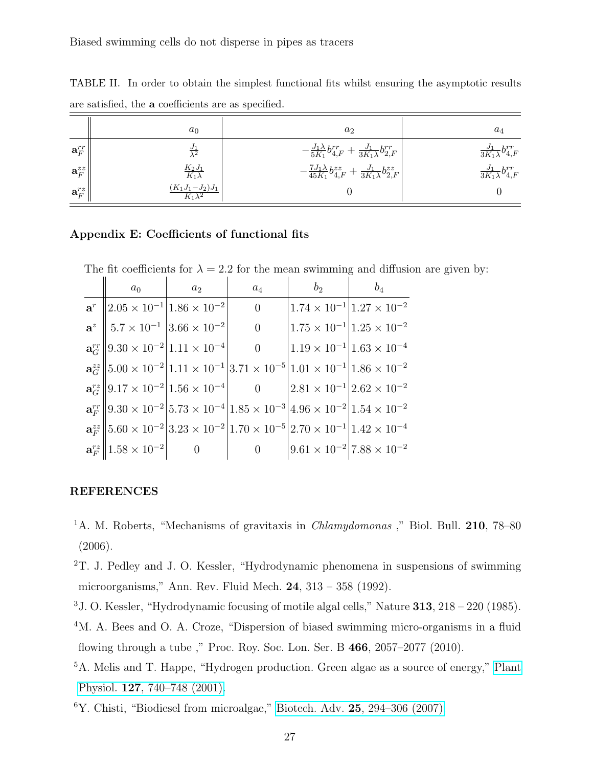|                     | $a_0$                       | a <sub>2</sub>                                                                            | $a_4$                                 |
|---------------------|-----------------------------|-------------------------------------------------------------------------------------------|---------------------------------------|
| $\mathbf{a}^{rr}_F$ | $\frac{J_1}{\lambda^2}$     | $-\frac{J_1\lambda}{5K_1}b_{4,F}^{rr}+\frac{J_1}{3K_1\lambda}b_{2,F}^{rr}$                | $\frac{J_1}{3K_1\lambda}b_{4,F}^{rr}$ |
| $\mathbf{a}_F^{zz}$ | $\frac{K_2J_1}{K_1\lambda}$ | $-\frac{7J_{1}\lambda}{45K_{1}}b_{4,F}^{zz}+\frac{J_{1}}{3K_{1}\lambda}b_{2,F}^{zz}\Big $ | $\frac{J_1}{3K_1\lambda}b_{4,F}^{rr}$ |
| $\mathbf{a}_F^{rz}$ | $(K_1J_1-J_2)J_1$           |                                                                                           |                                       |

<span id="page-26-7"></span>TABLE II. In order to obtain the simplest functional fits whilst ensuring the asymptotic results are satisfied, the a coefficients are as specified.

## <span id="page-26-6"></span>Appendix E: Coefficients of functional fits

The fit coefficients for  $\lambda = 2.2$  for the mean swimming and diffusion are given by:

| $a_0$                                                                               | a <sub>2</sub> | $a_4$          | b <sub>2</sub> | $b_4$                                                                                                                                                                            |
|-------------------------------------------------------------------------------------|----------------|----------------|----------------|----------------------------------------------------------------------------------------------------------------------------------------------------------------------------------|
| $\mathbf{a}^r$   2.05 × 10 <sup>-1</sup>  1.86 × 10 <sup>-2</sup>                   |                | $\overline{0}$ |                | $1.74 \times 10^{-1}$ $1.27 \times 10^{-2}$                                                                                                                                      |
| $\mathbf{a}^z \parallel 5.7 \times 10^{-1} \parallel 3.66 \times 10^{-2} \parallel$ |                | $\overline{0}$ |                | $1.75 \times 10^{-1}$ $1.25 \times 10^{-2}$                                                                                                                                      |
| $\mathbf{a}_{G}^{rr}$   $9.30 \times 10^{-2}$   $1.11 \times 10^{-4}$               |                | $\overline{0}$ |                | $1.19 \times 10^{-1}$ $1.63 \times 10^{-4}$                                                                                                                                      |
|                                                                                     |                |                |                | $a_{\tilde{G}}^{zz}$ 5.00 × 10 <sup>-2</sup> 1.11 × 10 <sup>-1</sup> 3.71 × 10 <sup>-5</sup> 1.01 × 10 <sup>-1</sup> 1.86 × 10 <sup>-2</sup>                                     |
| $a_G^{rz} \  9.17 \times 10^{-2}   1.56 \times 10^{-4}  $ 0                         |                |                |                | $\left 2.81 \times 10^{-1}\right  2.62 \times 10^{-2}$                                                                                                                           |
|                                                                                     |                |                |                | $\mathbf{a}_{F}^{rr}$   $9.30 \times 10^{-2}$   $5.73 \times 10^{-4}$   $1.85 \times 10^{-3}$   $4.96 \times 10^{-2}$   $1.54 \times 10^{-2}$                                    |
|                                                                                     |                |                |                | $\mathbf{a}_{F}^{zz}$ 5.60 $\times$ 10 <sup>-2</sup> 3.23 $\times$ 10 <sup>-2</sup> 1.70 $\times$ 10 <sup>-5</sup> 2.70 $\times$ 10 <sup>-1</sup> 1.42 $\times$ 10 <sup>-4</sup> |
| $\mathbf{a}^{rz}_F    1.58 \times 10^{-2}   $                                       |                | $\overline{0}$ |                | $9.61 \times 10^{-2}   7.88 \times 10^{-2}$                                                                                                                                      |

#### REFERENCES

- <span id="page-26-0"></span><sup>1</sup>A. M. Roberts, "Mechanisms of gravitaxis in *Chlamydomonas*," Biol. Bull. **210**, 78–80 (2006).
- <span id="page-26-1"></span><sup>2</sup>T. J. Pedley and J. O. Kessler, "Hydrodynamic phenomena in suspensions of swimming microorganisms," Ann. Rev. Fluid Mech. 24, 313 – 358 (1992).
- <span id="page-26-3"></span><span id="page-26-2"></span><sup>3</sup>J. O. Kessler, "Hydrodynamic focusing of motile algal cells," Nature 313, 218 – 220 (1985).
- <sup>4</sup>M. A. Bees and O. A. Croze, "Dispersion of biased swimming micro-organisms in a fluid flowing through a tube ," Proc. Roy. Soc. Lon. Ser. B 466, 2057–2077 (2010).
- <span id="page-26-4"></span><sup>5</sup>A. Melis and T. Happe, "Hydrogen production. Green algae as a source of energy," [Plant](http://dx.doi.org/{10.1104/pp.010498}) Physiol. 127[, 740–748 \(2001\).](http://dx.doi.org/{10.1104/pp.010498})
- <span id="page-26-5"></span> ${}^{6}Y$ . Chisti, "Biodiesel from microalgae," Biotech. Adv. 25[, 294–306 \(2007\).](http://dx.doi.org/{10.1016/j.biotechadv.2007.02.001})